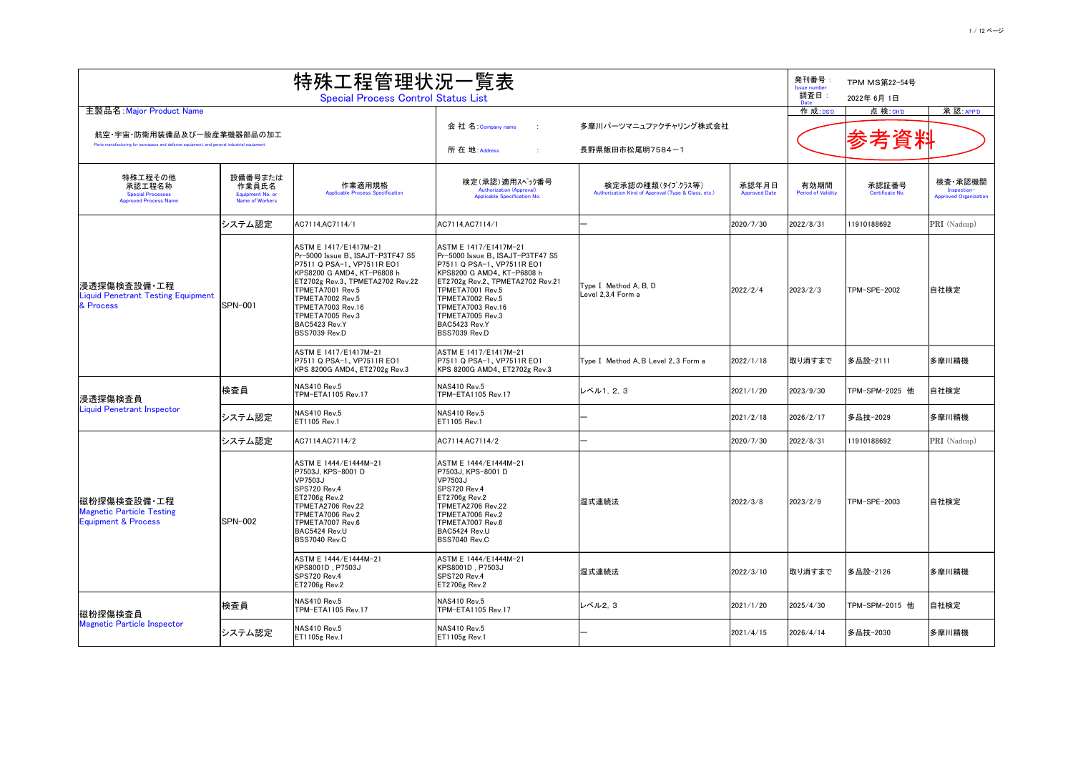|                                                                                                                        | 特殊工程管理状況一覧表                                             |                                                                                                                                                                                                                                                                                   |                                                                                                                                                                                                                                                                                             |                                                                         |                               |                                   |                          |                                                        |
|------------------------------------------------------------------------------------------------------------------------|---------------------------------------------------------|-----------------------------------------------------------------------------------------------------------------------------------------------------------------------------------------------------------------------------------------------------------------------------------|---------------------------------------------------------------------------------------------------------------------------------------------------------------------------------------------------------------------------------------------------------------------------------------------|-------------------------------------------------------------------------|-------------------------------|-----------------------------------|--------------------------|--------------------------------------------------------|
|                                                                                                                        |                                                         | <b>Special Process Control Status List</b>                                                                                                                                                                                                                                        |                                                                                                                                                                                                                                                                                             |                                                                         |                               | 調査日:<br>Date                      | 2022年 6月 1日              |                                                        |
| 主製品名: Major Product Name                                                                                               |                                                         |                                                                                                                                                                                                                                                                                   |                                                                                                                                                                                                                                                                                             |                                                                         |                               | 作 成: DS'D                         | 点 検:CH'D                 | 承認: APP'D                                              |
| 航空・宇宙・防衛用装備品及び一般産業機器部品の加工<br>Parts manufacturing for aerospace and defense equipment, and general industrial equipment |                                                         |                                                                                                                                                                                                                                                                                   | 会 社 名 : Company name<br>所在地: Address                                                                                                                                                                                                                                                        | 多摩川パーツマニュファクチャリング株式会社<br>長野県飯田市松尾明7584一1                                |                               |                                   | 参考資料                     |                                                        |
| 特殊工程その他<br>承認工程名称<br><b>Special Processes</b><br><b>Approved Process Name</b>                                          | 設備番号または<br>作業員氏名<br>Equipment No. or<br>Name of Workers | 作業適用規格<br><b>Applicable Process Specification</b>                                                                                                                                                                                                                                 | 検定(承認)適用スペック番号<br><b>Authorization (Approval)</b><br>Applicable Specification No.                                                                                                                                                                                                           | 検定承認の種類(タイプクラス等)<br>Authorization Kind of Approval (Type & Class, etc.) | 承認年月日<br><b>Approved Date</b> | 有効期間<br><b>Period of Validity</b> | 承認証番号<br>Certificate No. | 検査・承認機関<br>Inspection-<br><b>Approved Organization</b> |
|                                                                                                                        | システム認定                                                  | AC7114, AC7114/1                                                                                                                                                                                                                                                                  | AC7114, AC7114/1                                                                                                                                                                                                                                                                            |                                                                         | 2020/7/30                     | 2022/8/31                         | 11910188692              | PRI (Nadcap)                                           |
| 浸透探傷検査設備・工程<br><b>Liquid Penetrant Testing Equipment</b><br>& Process                                                  | <b>SPN-001</b>                                          | ASTM E 1417/E1417M-21<br>Pr-5000 Issue B, ISAJT-P3TF47 S5<br>P7511 Q PSA-1, VP7511R EO1<br>KPS8200 G AMD4、KT-P6808 h<br>ET2702g Rev.3、TPMETA2702 Rev.22<br>TPMETA7001 Rev.5<br>TPMETA7002 Rev.5<br><b>TPMETA7003 Rev.16</b><br>TPMETA7005 Rev.3<br>BAC5423 Rev.Y<br>BSS7039 Rev.D | ASTM E 1417/E1417M-21<br>Pr-5000 Issue B, ISAJT-P3TF47 S5<br> P7511 Q PSA-1, VP7511R EO1<br>KPS8200 G AMD4, KT-P6808 h<br>ET2702g Rev.2, TPMETA2702 Rev.21<br>TPMETA7001 Rev.5<br>TPMETA7002 Rev.5<br><b>TPMETA7003 Rev.16</b><br>TPMETA7005 Rev.3<br>BAC5423 Rev.Y<br><b>BSS7039 Rev.D</b> | Type I Method A, B, D<br>Level 2,3,4 Form a                             | 2022/2/4                      | 2023/2/3                          | ITPM-SPE-2002            | 自社検定                                                   |
|                                                                                                                        |                                                         | ASTM E 1417/E1417M-21<br>P7511 Q PSA-1、VP7511R EO1<br>KPS 8200G AMD4, ET2702g Rev.3                                                                                                                                                                                               | ASTM E 1417/E1417M-21<br> P7511 Q PSA-1, VP7511R EO1<br>KPS 8200G AMD4, ET2702g Rev.3                                                                                                                                                                                                       | Type I Method A, B Level 2, 3 Form a                                    | 2022/1/18                     | 取り消すまで                            | 多品設-2111                 | 多摩川精機                                                  |
| 浸透探傷検査員                                                                                                                | 検査員                                                     | <b>NAS410 Rev.5</b><br><b>TPM-ETA1105 Rev.17</b>                                                                                                                                                                                                                                  | <b>NAS410 Rev.5</b><br>TPM-ETA1105 Rev.17                                                                                                                                                                                                                                                   | レベル1, 2, 3                                                              | 2021/1/20                     | 2023/9/30                         | TPM-SPM-2025 他           | 自社検定                                                   |
| <b>Liquid Penetrant Inspector</b>                                                                                      | システム認定                                                  | <b>NAS410 Rev.5</b><br>ET1105 Rev.1                                                                                                                                                                                                                                               | <b>NAS410 Rev.5</b><br><b>ET1105 Rev.1</b>                                                                                                                                                                                                                                                  |                                                                         | 2021/2/18                     | 2026/2/17                         | │多品技─2029                | 多摩川精機                                                  |
|                                                                                                                        | システム認定                                                  | AC7114.AC7114/2                                                                                                                                                                                                                                                                   | AC7114.AC7114/2                                                                                                                                                                                                                                                                             |                                                                         | 2020/7/30                     | 2022/8/31                         | 11910188692              | PRI (Nadcap)                                           |
| <b> 磁粉探傷検査設備·工程</b><br><b>Magnetic Particle Testing</b><br><b>Equipment &amp; Process</b>                              | <b>SPN-002</b>                                          | ASTM E 1444/E1444M-21<br>P7503J, KPS-8001 D<br><b>VP7503J</b><br><b>SPS720 Rev.4</b><br><b>ET2706g Rev.2</b><br><b>TPMETA2706 Rev.22</b><br>TPMETA7006 Rev.2<br>TPMETA7007 Rev.6<br>BAC5424 Rev.U<br>BSS7040 Rev.C                                                                | ASTM E 1444/E1444M-21<br>P7503J, KPS-8001 D<br><b>VP7503J</b><br><b>SPS720 Rev.4</b><br><b>ET2706g Rev.2</b><br>TPMETA2706 Rev.22<br>TPMETA7006 Rev.2<br>TPMETA7007 Rev.6<br>BAC5424 Rev.U<br><b>BSS7040 Rev.C</b>                                                                          | 湿式連続法                                                                   | 2022/3/8                      | 2023/2/9                          | TPM-SPE-2003             | 自社検定                                                   |
|                                                                                                                        |                                                         | ASTM E 1444/E1444M-21<br>KPS8001D, P7503J<br>SPS720 Rev.4<br><b>ET2706g Rev.2</b>                                                                                                                                                                                                 | ASTM E 1444/E1444M-21<br>KPS8001D, P7503J<br><b>SPS720 Rev.4</b><br>ET2706g Rev.2                                                                                                                                                                                                           | 湿式連続法                                                                   | 2022/3/10                     | 取り消すまで                            | 多品設-2126                 | 多摩川精機                                                  |
| 磁粉探傷検査員<br><b>Magnetic Particle Inspector</b>                                                                          | 検査員                                                     | <b>NAS410 Rev.5</b><br>TPM-ETA1105 Rev.17                                                                                                                                                                                                                                         | <b>NAS410 Rev.5</b><br><b>TPM-ETA1105 Rev.17</b>                                                                                                                                                                                                                                            | レベル2, 3                                                                 | 2021/1/20                     | 2025/4/30                         | TPM-SPM-2015 他           | 自社検定                                                   |
|                                                                                                                        | システム認定                                                  | NAS410 Rev.5<br><b>ET1105g Rev.1</b>                                                                                                                                                                                                                                              | <b>NAS410 Rev.5</b><br><b>ET1105g Rev.1</b>                                                                                                                                                                                                                                                 |                                                                         | 2021/4/15                     | 2026/4/14                         | │多品技−2030                | 多摩川精機                                                  |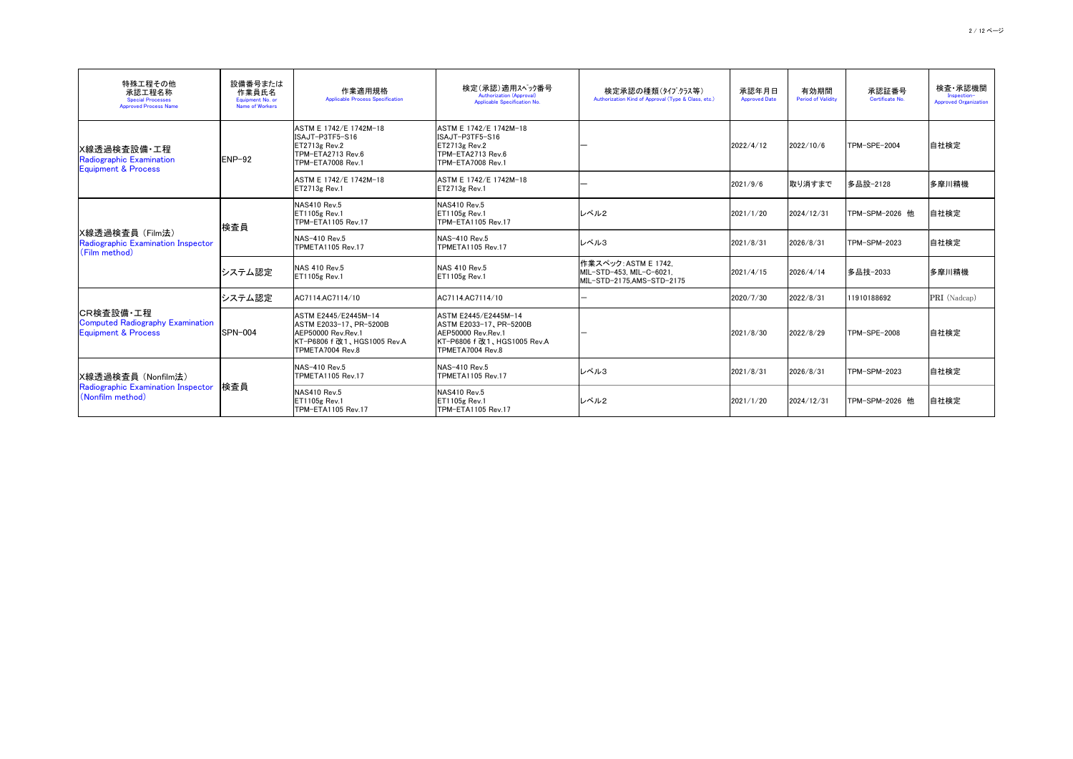| 特殊工程その他<br>承認工程名称<br><b>Special Processes</b><br><b>Approved Process Name</b>                                          | 設備番号または<br>作業員氏名<br>Equipment No. or<br><b>Name of Workers</b> | 作業適用規格<br><b>Applicable Process Specification</b>                                                             | 検定(承認)適用スペック番号<br>Authorization (Approval)<br>Applicable Specification No.                             | 検定承認の種類(タイプクラス等)<br>Authorization Kind of Approval (Type & Class, etc.)        | 承認年月日<br><b>Approved Date</b> | 有効期間<br><b>Period of Validity</b> | 承認証番号<br>Certificate No. | 検査・承認機関<br>Inspection-<br><b>Approved Organization</b> |
|------------------------------------------------------------------------------------------------------------------------|----------------------------------------------------------------|---------------------------------------------------------------------------------------------------------------|--------------------------------------------------------------------------------------------------------|--------------------------------------------------------------------------------|-------------------------------|-----------------------------------|--------------------------|--------------------------------------------------------|
| X線透過検査設備·工程 <br>Radiographic Examination<br><b>Equipment &amp; Process</b>                                             | $ENP-92$                                                       | ASTM E 1742/E 1742M-18<br>ISAJT-P3TF5-S16<br>$ET2713g$ Rev.2<br>TPM-ETA2713 Rev.6<br><b>TPM-ETA7008 Rev.1</b> | ASTM E 1742/E 1742M-18<br>ISAJT-P3TF5-S16<br>$ET2713g$ Rev.2<br>TPM-ETA2713 Rev.6<br>TPM-ETA7008 Rev.1 |                                                                                | 2022/4/12                     | 2022/10/6                         | <b>TPM-SPE-2004</b>      | 自社検定                                                   |
|                                                                                                                        |                                                                | ASTM E 1742/E 1742M-18<br>$ET2713g$ Rev.1                                                                     | ASTM E 1742/E 1742M-18<br>$ET2713g$ Rev.1                                                              |                                                                                | 2021/9/6                      | 取り消すまで                            | 多品設-2128                 | 多摩川精機                                                  |
|                                                                                                                        | 検査員                                                            | <b>NAS410 Rev.5</b><br>$ET1105g$ Rev.1<br><b>TPM-ETA1105 Rev.17</b>                                           | NAS410 Rev.5<br>$ET1105g$ Rev.1<br>TPM-ETA1105 Rev.17                                                  | レベル2                                                                           | 2021/1/20                     | 2024/12/31                        | TPM-SPM-2026 他           | 自社検定                                                   |
| X線透過検査員 (Film法)<br>Radiographic Examination Inspector<br>$\mathsf{\mathsf{\mathsf{}}(\mathsf{Film}\ \mathsf{method})}$ |                                                                | NAS-410 Rev.5<br>TPMETA1105 Rev.17                                                                            | NAS-410 Rev.5<br>TPMETA1105 Rev.17                                                                     | レベル3                                                                           | 2021/8/31                     | 2026/8/31                         | TPM-SPM-2023             | 自社検定                                                   |
|                                                                                                                        | システム認定                                                         | NAS 410 Rev.5<br><b>ET1105g Rev.1</b>                                                                         | NAS 410 Rev.5<br>$ET1105g$ Rev.1                                                                       | 作業スペック: ASTM E 1742,<br>MIL-STD-453, MIL-C-6021,<br>MIL-STD-2175, AMS-STD-2175 | 2021/4/15                     | 2026/4/14                         | 多品技-2033                 | 多摩川精機                                                  |
|                                                                                                                        | システム認定                                                         | AC7114.AC7114/10                                                                                              | AC7114.AC7114/10                                                                                       |                                                                                | 2020/7/30                     | 2022/8/31                         | 11910188692              | PRI (Nadcap)                                           |
| CR検査設備・工程<br><b>Computed Radiography Examination</b><br><b>Equipment &amp; Process</b>                                 | <b>SPN-004</b>                                                 | ASTM E2445/E2445M-14<br>ASTM E2033-17, PR-5200B<br><b>AEP50000 Rev.Rev.1</b><br>TPMETA7004 Rev.8              | ASTM E2445/E2445M-14<br>ASTM E2033-17, PR-5200B<br>AEP50000 Rev. Rev. 1<br>TPMETA7004 Rev.8            |                                                                                | 2021/8/30                     | 2022/8/29                         | <b>TPM-SPE-2008</b>      | 自社検定                                                   |
| X線透過検査員 (Nonfilm法)<br>Radiographic Examination Inspector<br>$\mid$ (Nonfilm method)                                    |                                                                | NAS-410 Rev.5<br><b>TPMETA1105 Rev.17</b>                                                                     | NAS-410 Rev.5<br>TPMETA1105 Rev.17                                                                     | レベル3                                                                           | 2021/8/31                     | 2026/8/31                         | TPM-SPM-2023             | 自社検定                                                   |
|                                                                                                                        | 検査員                                                            | <b>NAS410 Rev.5</b><br>$ET1105g$ Rev.1<br>TPM-ETA1105 Rev.17                                                  | NAS410 Rev.5<br>$ET1105g$ Rev.1<br>TPM-ETA1105 Rev.17                                                  | レベル2                                                                           | 2021/1/20                     | 2024/12/31                        | TPM-SPM-2026 他           | 自社検定                                                   |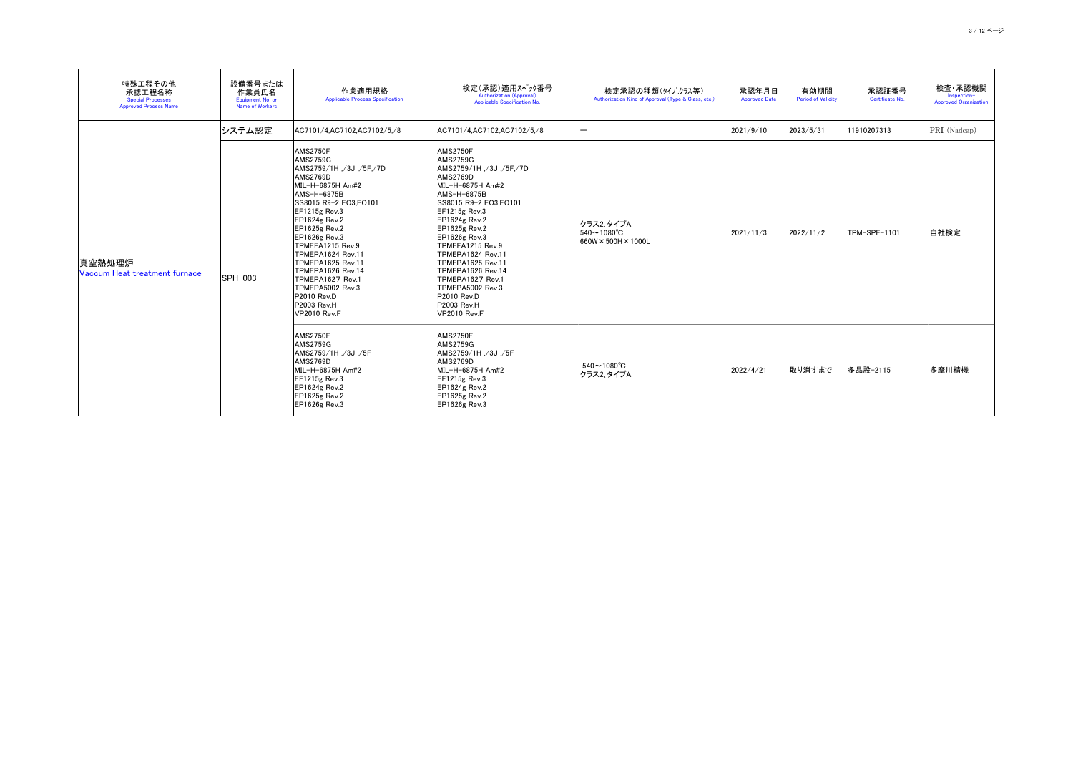| 特殊工程その他<br>承認工程名称<br><b>Special Processes</b><br><b>Approved Process Name</b> | 設備番号または<br>作業員氏名<br>Equipment No. or<br>Name of Workers | 作業適用規格<br><b>Applicable Process Specification</b>                                                                                                                                                                                                                                                                                                                                                                                       | 検定(承認)適用スペック番号<br>Authorization (Approval)<br>Applicable Specification No.                                                                                                                                                                                                                                                                                                                          | 検定承認の種類(タイプクラス等)<br>Authorization Kind of Approval (Type & Class, etc.)   | 承認年月日<br><b>Approved Date</b> | 有効期間<br><b>Period of Validity</b> | 承認証番号<br>Certificate No. | 検査・承認機関<br>Inspection-<br><b>Approved Organization</b> |
|-------------------------------------------------------------------------------|---------------------------------------------------------|-----------------------------------------------------------------------------------------------------------------------------------------------------------------------------------------------------------------------------------------------------------------------------------------------------------------------------------------------------------------------------------------------------------------------------------------|-----------------------------------------------------------------------------------------------------------------------------------------------------------------------------------------------------------------------------------------------------------------------------------------------------------------------------------------------------------------------------------------------------|---------------------------------------------------------------------------|-------------------------------|-----------------------------------|--------------------------|--------------------------------------------------------|
|                                                                               | システム認定                                                  | AC7101/4,AC7102,AC7102/5,/8                                                                                                                                                                                                                                                                                                                                                                                                             | AC7101/4, AC7102, AC7102/5, /8                                                                                                                                                                                                                                                                                                                                                                      |                                                                           | 2021/9/10                     | 2023/5/31                         | 11910207313              | PRI (Nadcap)                                           |
| 真空熱処理炉<br>Vaccum Heat treatment furnace                                       | <b>SPH-003</b>                                          | <b>AMS2750F</b><br><b>AMS2759G</b><br>AMS2759/1H , /3J , /5F, /7D<br><b>AMS2769D</b><br>MIL-H-6875H Am#2<br>AMS-H-6875B<br>SS8015 R9-2 EO3, EO101<br>$EF1215g$ Rev.3<br>$EPI624g$ Rev.2<br>$EPI625g$ Rev.2<br><b>EP1626g Rev.3</b><br>TPMEFA1215 Rev.9<br>TPMEPA1624 Rev.11<br><b>TPMEPA1625 Rev.11</b><br><b>TPMEPA1626 Rev.14</b><br>TPMEPA1627 Rev.1<br>TPMEPA5002 Rev.3<br>P2010 Rev.D<br><b>P2003 Rev.H</b><br><b>VP2010 Rev.F</b> | AMS2750F<br><b>AMS2759G</b><br>AMS2759/1H ,/3J ,/5F,/7D<br><b>AMS2769D</b><br>MIL-H-6875H Am#2<br>AMS-H-6875B<br>SS8015 R9-2 EO3, EO101<br>$EF1215g$ Rev.3<br>$EPI624g$ Rev.2<br>$EP1625g$ Rev.2<br>$EPI626g$ Rev.3<br>TPMEFA1215 Rev.9<br>TPMEPA1624 Rev.11<br>TPMEPA1625 Rev.11<br>TPMEPA1626 Rev.14<br>TPMEPA1627 Rev.1<br>TPMEPA5002 Rev.3<br>P2010 Rev.D<br>P2003 Rev.H<br><b>VP2010 Rev.F</b> | フラス2、タイプA<br>$540 \sim 1080^{\circ}$ C<br>$660W \times 500H \times 1000L$ | 2021/11/3                     | 2022/11/2                         | TPM-SPE-1101             | 自社検定                                                   |
|                                                                               |                                                         | <b>AMS2750F</b><br><b>AMS2759G</b><br>AMS2759/1H, 3J, 5F<br><b>AMS2769D</b><br>MIL-H-6875H Am#2<br>$EF1215g$ Rev.3<br>$EPI624g$ Rev.2<br>$EPI625g$ Rev.2<br>$EPI626g$ Rev.3                                                                                                                                                                                                                                                             | <b>AMS2750F</b><br><b>AMS2759G</b><br> AMS2759/1H ,/3J ,/5F<br><b>AMS2769D</b><br>MIL-H-6875H Am#2<br>$EF1215g$ Rev.3<br>$EPI624g$ Rev.2<br><b>EP1625g Rev.2</b><br>$EPI626g$ Rev.3                                                                                                                                                                                                                 | $540 \sim 1080^{\circ}$ C<br>クラス2、タイプA                                    | 2022/4/21                     | 取り消すまで                            | 多品設-2115                 | 多摩川精機                                                  |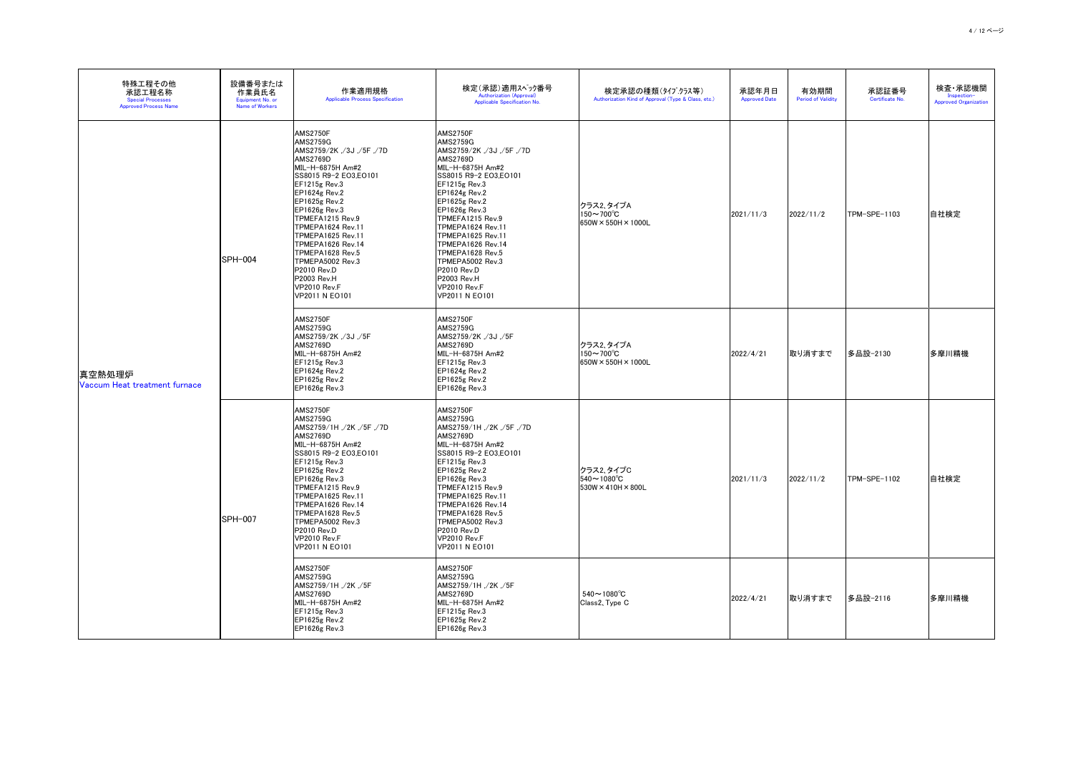| 特殊工程その他<br>承認工程名称<br><b>Special Processes</b><br><b>Approved Process Name</b> | 設備番号または<br>作業員氏名<br>Equipment No. or<br><b>Name of Workers</b> | 作業適用規格<br><b>Applicable Process Specification</b>                                                                                                                                                                                                                                                                                                                                                    | 検定(承認)適用スペック番号<br><b>Authorization (Approval)</b><br>Applicable Specification No.                                                                                                                                                                                                                                                                                                                       | 検定承認の種類(タイプクラス等)<br>Authorization Kind of Approval (Type & Class, etc.)  | 承認年月日<br><b>Approved Date</b> | 有効期間<br><b>Period of Validity</b> | 承認証番号<br>Certificate No. | 検査・承認機関<br>Inspection-<br><b>Approved Organization</b> |
|-------------------------------------------------------------------------------|----------------------------------------------------------------|------------------------------------------------------------------------------------------------------------------------------------------------------------------------------------------------------------------------------------------------------------------------------------------------------------------------------------------------------------------------------------------------------|---------------------------------------------------------------------------------------------------------------------------------------------------------------------------------------------------------------------------------------------------------------------------------------------------------------------------------------------------------------------------------------------------------|--------------------------------------------------------------------------|-------------------------------|-----------------------------------|--------------------------|--------------------------------------------------------|
| 真空熱処理炉<br>Vaccum Heat treatment furnace                                       | <b>SPH-004</b>                                                 | AMS2750F<br><b>AMS2759G</b><br>AMS2759/2K, /3J, /5F, /7D<br><b>AMS2769D</b><br>MIL-H-6875H Am#2<br>SS8015 R9-2 EO3,EO101<br>EF1215g Rev.3<br>$EPI624g$ Rev.2<br>$EPI625g$ Rev.2<br>$EP1626g$ Rev.3<br>TPMEFA1215 Rev.9<br>TPMEPA1624 Rev.11<br>TPMEPA1625 Rev.11<br>TPMEPA1626 Rev.14<br>TPMEPA1628 Rev.5<br>TPMEPA5002 Rev.3<br>P2010 Rev.D<br><b>P2003 Rev.H</b><br>VP2010 Rev.F<br>VP2011 N EO101 | AMS2750F<br><b>AMS2759G</b><br>AMS2759/2K ,/3J ,/5F ,/7D<br>AMS2769D<br>MIL-H-6875H Am#2<br>SS8015 R9-2 EO3,EO101<br>EF1215g Rev.3<br><b>EP1624g Rev.2</b><br><b>EP1625g Rev.2</b><br>$EP1626g$ Rev.3<br>TPMEFA1215 Rev.9<br>TPMEPA1624 Rev.11<br>TPMEPA1625 Rev.11<br><b>TPMEPA1626 Rev.14</b><br>TPMEPA1628 Rev.5<br>TPMEPA5002 Rev.3<br>P2010 Rev.D<br>P2003 Rev.H<br>VP2010 Rev.F<br>VP2011 N EO101 | クラス2、タイプA<br>$150 \sim 700^{\circ}$ C<br>$650W \times 550H \times 1000L$ | 2021/11/3                     | 2022/11/2                         | TPM-SPE-1103             | 自社検定                                                   |
|                                                                               |                                                                | AMS2750F<br><b>AMS2759G</b><br>AMS2759/2K, /3J, /5F<br><b>AMS2769D</b><br>MIL-H-6875H Am#2<br><b>EF1215g Rev.3</b><br>$EPI624g$ Rev.2<br><b>EP1625g Rev.2</b><br>$EP1626g$ Rev.3                                                                                                                                                                                                                     | <b>AMS2750F</b><br><b>AMS2759G</b><br>AMS2759/2K, /3J, /5F<br><b>AMS2769D</b><br>MIL-H-6875H Am#2<br>EF1215g Rev.3<br><b>EP1624g Rev.2</b><br><b>EP1625g Rev.2</b><br><b>EP1626g Rev.3</b>                                                                                                                                                                                                              | クラス2、タイプA<br>$150$ ∼700 $^{\circ}$ C<br>$650W \times 550H \times 1000L$  | 2022/4/21                     | 取り消すまで                            | │多品設−2130                | 多摩川精機                                                  |
|                                                                               | SPH-007                                                        | <b>AMS2750F</b><br><b>AMS2759G</b><br>AMS2759/1H, /2K, /5F, /7D<br>AMS2769D<br>MIL-H-6875H Am#2<br>SS8015 R9-2 EO3, EO101<br>EF1215g Rev.3<br><b>EP1625g Rev.2</b><br>$EP1626g$ Rev.3<br>TPMEFA1215 Rev.9<br>TPMEPA1625 Rev.11<br>TPMEPA1626 Rev.14<br>TPMEPA1628 Rev.5<br>TPMEPA5002 Rev.3<br><b>P2010 Rev.D</b><br>VP2010 Rev.F<br>VP2011 N EO101                                                  | <b>AMS2750F</b><br><b>AMS2759G</b><br>AMS2759/1H ,/2K ,/5F ,/7D<br><b>AMS2769D</b><br>MIL-H-6875H Am#2<br>SS8015 R9-2 EO3, EO101<br>EF1215g Rev.3<br><b>EP1625g Rev.2</b><br>EP1626g Rev.3<br>TPMEFA1215 Rev.9<br>TPMEPA1625 Rev.11<br>TPMEPA1626 Rev.14<br>TPMEPA1628 Rev.5<br>TPMEPA5002 Rev.3<br>P2010 Rev.D<br>VP2010 Rev.F<br><b>VP2011 N EO101</b>                                                | クラス2、タイプC<br>$ 540\sim1080^{\circ}$ C<br>$ 530W \times 410H \times 800L$ | 2021/11/3                     | 2022/11/2                         | TPM-SPE-1102             | 自社検定                                                   |
|                                                                               |                                                                | <b>AMS2750F</b><br><b>AMS2759G</b><br>AMS2759/1H, /2K, /5F<br>AMS2769D<br>MIL-H-6875H Am#2<br>EF1215g Rev.3<br>$EP1625g$ Rev.2<br>EP1626g Rev.3                                                                                                                                                                                                                                                      | AMS2750F<br><b>AMS2759G</b><br>AMS2759/1H ,/2K ,/5F<br><b>AMS2769D</b><br>MIL-H-6875H Am#2<br>EF1215g Rev.3<br><b>EP1625g Rev.2</b><br><b>EP1626g Rev.3</b>                                                                                                                                                                                                                                             | 540 $\sim$ 1080 $^{\circ}$ C<br>Class2, Type C                           | 2022/4/21                     | 取り消すまで                            | 多品設-2116                 | 多摩川精機                                                  |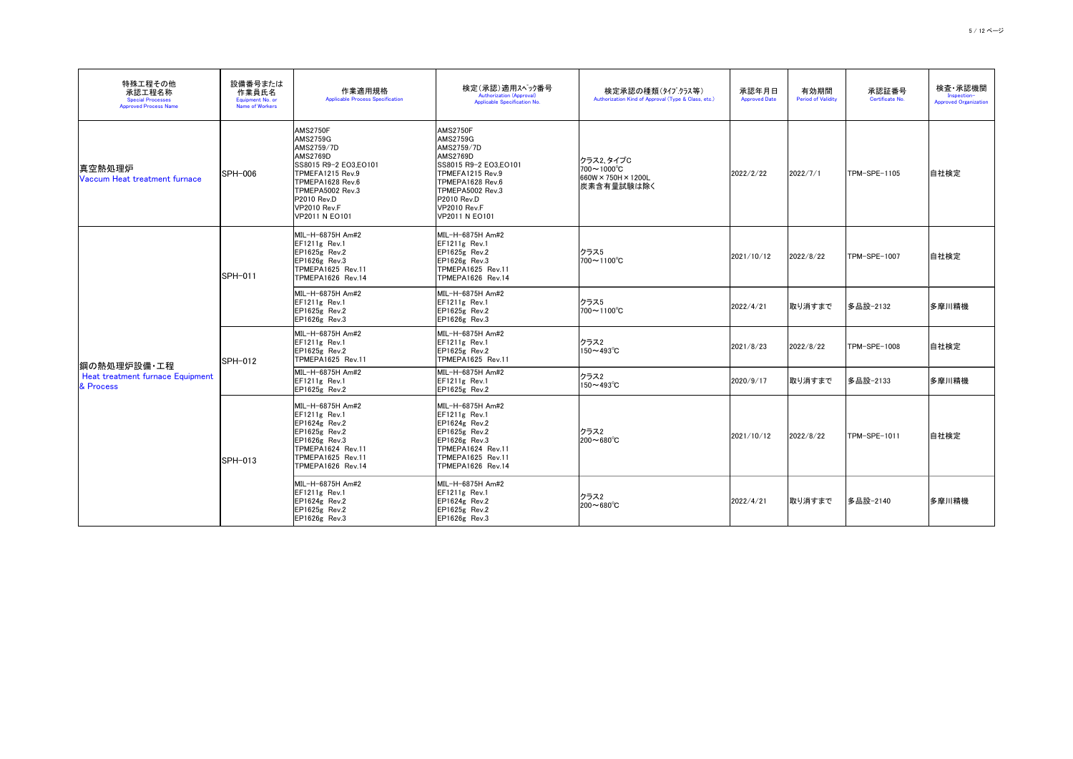| 特殊工程その他<br>承認工程名称<br><b>Special Processes</b><br><b>Approved Process Name</b> | 設備番号または<br>作業員氏名<br>Equipment No. or<br><b>Name of Workers</b> | 作業適用規格<br><b>Applicable Process Specification</b>                                                                                                                                                         | 検定(承認)適用スペック番号<br><b>Authorization (Approval)</b><br>Applicable Specification No.                                                                                                                  | 検定承認の種類(タイプクラス等)<br>Authorization Kind of Approval (Type & Class, etc.)                  | 承認年月日<br><b>Approved Date</b> | 有効期間<br><b>Period of Validity</b> | 承認証番号<br>Certificate No. | 検査・承認機関<br>Inspection-<br><b>Approved Organization</b> |
|-------------------------------------------------------------------------------|----------------------------------------------------------------|-----------------------------------------------------------------------------------------------------------------------------------------------------------------------------------------------------------|----------------------------------------------------------------------------------------------------------------------------------------------------------------------------------------------------|------------------------------------------------------------------------------------------|-------------------------------|-----------------------------------|--------------------------|--------------------------------------------------------|
| 真空熱処理炉<br>Vaccum Heat treatment furnace                                       | <b>SPH-006</b>                                                 | <b>AMS2750F</b><br><b>AMS2759G</b><br>AMS2759/7D<br><b>AMS2769D</b><br>SS8015 R9-2 EO3,EO101<br>TPMEFA1215 Rev.9<br>TPMEPA1628 Rev.6<br>TPMEPA5002 Rev.3<br>P2010 Rev.D<br>VP2010 Rev.F<br>VP2011 N EO101 | <b>AMS2750F</b><br><b>AMS2759G</b><br>AMS2759/7D<br>AMS2769D<br>SS8015 R9-2 EO3.EO101<br>TPMEFA1215 Rev.9<br>TPMEPA1628 Rev.6<br>TPMEPA5002 Rev.3<br>P2010 Rev.D<br>VP2010 Rev.F<br>VP2011 N EO101 | クラス2、タイプC<br>$700 \sim 1000 \degree C$<br>$660W \times 750H \times 1200L$<br> 炭素含有量試験は除く | 2022/2/22                     | 2022/7/1                          | TPM-SPE-1105             | 自社検定                                                   |
|                                                                               | <b>SPH-011</b>                                                 | MIL-H-6875H Am#2<br>EF1211g Rev.1<br>$EPI625g$ Rev.2<br>$EPI626g$ Rev.3<br>TPMEPA1625 Rev.11<br>TPMEPA1626 Rev.14                                                                                         | MIL-H-6875H Am#2<br>EF1211g Rev.1<br>EP1625g Rev.2<br>EP1626g Rev.3<br>TPMEPA1625 Rev.11<br>TPMEPA1626 Rev.14                                                                                      | クラス5<br>$700 \sim 1100^{\circ}C$                                                         | 2021/10/12                    | 2022/8/22                         | ITPM-SPE-1007            | 自社検定                                                   |
|                                                                               |                                                                | MIL-H-6875H Am#2<br>$EF1211g$ Rev.1<br>EP1625g Rev.2<br>EP1626g Rev.3                                                                                                                                     | MIL-H-6875H Am#2<br>EF1211g Rev.1<br>EP1625g Rev.2<br>EP1626g Rev.3                                                                                                                                | クラス5<br>$700 \sim 1100^{\circ}C$                                                         | 2022/4/21                     | 取り消すまで                            | 多品設-2132                 | 多摩川精機                                                  |
| 鋼の熱処理炉設備・工程                                                                   | <b>SPH-012</b>                                                 | MIL-H-6875H Am#2<br>$EF1211g$ Rev.1<br>$EPI625g$ Rev.2<br>TPMEPA1625 Rev.11                                                                                                                               | MIL-H-6875H Am#2<br>EF1211g Rev.1<br>EP1625g Rev.2<br>TPMEPA1625 Rev.11                                                                                                                            | クラス2<br>$150 - 493^{\circ}C$                                                             | 2021/8/23                     | 2022/8/22                         | TPM-SPE-1008             | 自社検定                                                   |
| Heat treatment furnace Equipment<br>& Process                                 |                                                                | MIL-H-6875H Am#2<br>$EF1211g$ Rev.1<br>$EPI625g$ Rev.2                                                                                                                                                    | MIL-H-6875H Am#2<br>$EF1211g$ Rev.1<br>$EPI625g$ Rev.2                                                                                                                                             | クラス2<br>$150 - 493^{\circ}C$                                                             | 2020/9/17                     | 取り消すまで                            | 多品設-2133                 | 多摩川精機                                                  |
|                                                                               | <b>SPH-013</b>                                                 | MIL-H-6875H Am#2<br>$EF1211g$ Rev.1<br>$EPI624g$ Rev.2<br>$EPI625g$ Rev.2<br>$EPI626g$ Rev.3<br>TPMEPA1624 Rev.11<br>TPMEPA1625 Rev.11<br>TPMEPA1626 Rev.14                                               | MIL-H-6875H Am#2<br>$EF1211g$ Rev.1<br>$EPI624g$ Rev.2<br>EP1625g Rev.2<br>EP1626g Rev.3<br>TPMEPA1624 Rev.11<br>TPMEPA1625 Rev.11<br>TPMEPA1626 Rev.14                                            | クラス2<br>$200 \sim 680^{\circ}$ C                                                         | 2021/10/12                    | 2022/8/22                         | TPM-SPE-1011             | 自社検定                                                   |
|                                                                               |                                                                | MIL-H-6875H Am#2<br>$EF1211g$ Rev.1<br>$EPI624g$ Rev.2<br>$EPI625g$ Rev.2<br>$EPI626g$ Rev.3                                                                                                              | MIL-H-6875H Am#2<br>$EF1211g$ Rev.1<br>EP1624g Rev.2<br>EP1625g Rev.2<br>EP1626g Rev.3                                                                                                             | クラス2<br>$200 \sim 680^{\circ}C$                                                          | 2022/4/21                     | 取り消すまで                            | 多品設-2140                 | 多摩川精機                                                  |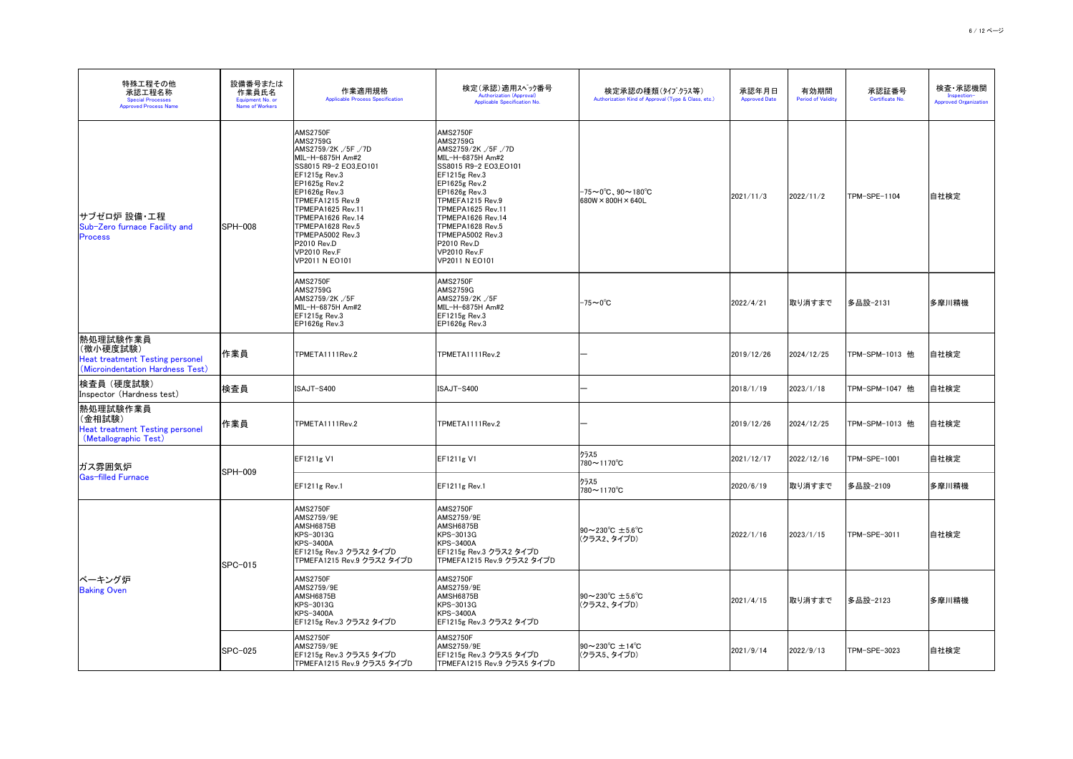| 特殊工程その他<br>承認工程名称<br><b>Special Processes</b><br><b>Approved Process Name</b>                       | 設備番号または<br>作業員氏名<br>Equipment No. or<br><b>Name of Workers</b> | 作業適用規格<br><b>Applicable Process Specification</b>                                                                                                                                                                                                                                                                                                  | 検定(承認)適用スヘック番号<br><b>Authorization (Approval)</b><br>Applicable Specification No.                                                                                                                                                                                                                                                      | 検定承認の種類(タイプクラス等)<br>Authorization Kind of Approval (Type & Class, etc.)       | 承認年月日<br><b>Approved Date</b> | 有効期間<br><b>Period of Validity</b> | 承認証番号<br>Certificate No. | 検査・承認機関<br>Inspection-<br><b>Approved Organization</b> |
|-----------------------------------------------------------------------------------------------------|----------------------------------------------------------------|----------------------------------------------------------------------------------------------------------------------------------------------------------------------------------------------------------------------------------------------------------------------------------------------------------------------------------------------------|----------------------------------------------------------------------------------------------------------------------------------------------------------------------------------------------------------------------------------------------------------------------------------------------------------------------------------------|-------------------------------------------------------------------------------|-------------------------------|-----------------------------------|--------------------------|--------------------------------------------------------|
| サブゼロ炉 設備・工程<br>Sub-Zero furnace Facility and<br><b>Process</b>                                      | <b>SPH-008</b>                                                 | <b>AMS2750F</b><br><b>AMS2759G</b><br>AMS2759/2K ,/5F ,/7D<br>MIL-H-6875H Am#2<br>SS8015 R9-2 EO3, EO101<br>$EF1215g$ Rev.3<br>$EPI625g$ Rev.2<br><b>EP1626g Rev.3</b><br>TPMEFA1215 Rev.9<br><b>TPMEPA1625 Rev.11</b><br><b>TPMEPA1626 Rev.14</b><br>TPMEPA1628 Rev.5<br>TPMEPA5002 Rev.3<br><b>P2010 Rev.D</b><br>VP2010 Rev.F<br>VP2011 N EO101 | <b>AMS2750F</b><br><b>AMS2759G</b><br>AMS2759/2K, /5F, /7D<br>MIL-H-6875H Am#2<br>SS8015 R9-2 EO3.EO101<br>$EF1215g$ Rev.3<br>$EP1625g$ Rev.2<br>$EP1626g$ Rev.3<br><b>ITPMEFA1215 Rev.9</b><br>TPMEPA1625 Rev.11<br>TPMEPA1626 Rev.14<br>TPMEPA1628 Rev.5<br>TPMEPA5002 Rev.3<br>P2010 Rev.D<br><b>VP2010 Rev.F</b><br>VP2011 N EO101 | $ -75 \sim 0^{\circ}$ C、90~180 $^{\circ}$ C<br>$680W \times 800H \times 640L$ | 2021/11/3                     | 2022/11/2                         | TPM-SPE-1104             | 自社検定                                                   |
|                                                                                                     |                                                                | <b>AMS2750F</b><br><b>AMS2759G</b><br>AMS2759/2K ./5F<br>MIL-H-6875H Am#2<br>$EF1215g$ Rev.3<br>$EP1626g$ Rev.3                                                                                                                                                                                                                                    | AMS2750F<br><b>AMS2759G</b><br>AMS2759/2K ./5F<br>MIL-H-6875H Am#2<br>$EF1215g$ Rev.3<br><b>EP1626g Rev.3</b>                                                                                                                                                                                                                          | $-75 \sim 0^{\circ}C$                                                         | 2022/4/21                     | 取り消すまで                            | │多品設−2131                | 多摩川精機                                                  |
| 熱処理試験作業員<br> (微小硬度試験)<br><b>Heat treatment Testing personel</b><br>(Microindentation Hardness Test) | 作業員                                                            | TPMETA1111Rev.2                                                                                                                                                                                                                                                                                                                                    | TPMETA1111Rev.2                                                                                                                                                                                                                                                                                                                        |                                                                               | 2019/12/26                    | 2024/12/25                        | TPM-SPM-1013 他           | 自社検定                                                   |
| 検査員 (硬度試験)<br>Inspector (Hardness test)                                                             | 検査員                                                            | ISAJT-S400                                                                                                                                                                                                                                                                                                                                         | ISAJT-S400                                                                                                                                                                                                                                                                                                                             |                                                                               | 2018/1/19                     | 2023/1/18                         | TPM-SPM-1047 他           | 自社検定                                                   |
| 熱処理試験作業員<br>(金相試験)<br><b>Heat treatment Testing personel</b><br>(Metallographic Test)               | 作業員                                                            | TPMETA1111Rev.2                                                                                                                                                                                                                                                                                                                                    | TPMETA1111Rev.2                                                                                                                                                                                                                                                                                                                        |                                                                               | 2019/12/26                    | 2024/12/25                        | TPM-SPM-1013 他           | 自社検定                                                   |
| ガス雰囲気炉                                                                                              |                                                                | <b>EF1211g V1</b>                                                                                                                                                                                                                                                                                                                                  | <b>EF1211g V1</b>                                                                                                                                                                                                                                                                                                                      | クラス5<br>780~1170°C                                                            | 2021/12/17                    | 2022/12/16                        | TPM-SPE-1001             | 自社検定                                                   |
| Gas-filled Furnace                                                                                  | <b>SPH-009</b>                                                 | EF1211g Rev.1                                                                                                                                                                                                                                                                                                                                      | $EF1211g$ Rev.1                                                                                                                                                                                                                                                                                                                        | クラス5<br>$780$ ∼1170 $^{\circ}$ C                                              | 2020/6/19                     | 取り消すまで                            | 多品設-2109                 | 多摩川精機                                                  |
|                                                                                                     | $ SPC-015 $                                                    | <b>AMS2750F</b><br><b>AMS2759/9E</b><br>AMSH6875B<br>KPS-3013G<br><b>KPS-3400A</b><br> EF1215g Rev.3 クラス2 タイプD<br>TPMEFA1215 Rev.9 クラス2 タイプD                                                                                                                                                                                                       | AMS2750F<br><b>AMS2759/9E</b><br>AMSH6875B<br>KPS-3013G<br><b>KPS-3400A</b><br> EF1215g Rev.3 クラス2 タイプD<br> TPMEFA1215 Rev.9 クラス2 タイプD                                                                                                                                                                                                 | $90 \sim 230^{\circ}C \pm 5.6^{\circ}C$<br>(クラス2、タイプD)                        | 2022/1/16                     | 2023/1/15                         | TPM-SPE-3011             | 自社検定                                                   |
| ベーキング炉<br><b>Baking Oven</b>                                                                        |                                                                | AMS2750F<br><b>AMS2759/9E</b><br>AMSH6875B<br>KPS-3013G<br><b>KPS-3400A</b><br> EF1215g Rev.3 クラス2 タイプD                                                                                                                                                                                                                                            | AMS2750F<br><b>AMS2759/9E</b><br><b>AMSH6875B</b><br>KPS-3013G<br><b>KPS-3400A</b><br> EF1215g Rev.3 クラス2 タイプD                                                                                                                                                                                                                         | $90 \sim 230^{\circ}C \pm 5.6^{\circ}C$<br>(クラス2、タイプD)                        | 2021/4/15                     | 取り消すまで                            | 多品設-2123                 | 多摩川精機                                                  |
|                                                                                                     | SPC-025                                                        | AMS2750F<br><b>AMS2759/9E</b><br> EF1215g Rev.3 クラス5 タイプD<br> TPMEFA1215 Rev.9 クラス5 タイプD                                                                                                                                                                                                                                                           | AMS2750F<br>AMS2759/9E<br> EF1215g Rev.3 クラス5 タイプD<br> TPMEFA1215 Rev.9 クラス5 タイプD                                                                                                                                                                                                                                                      | $90 \sim 230^{\circ}C \pm 14^{\circ}C$<br>(クラス5、タイプD)                         | 2021/9/14                     | 2022/9/13                         | TPM-SPE-3023             | 自社検定                                                   |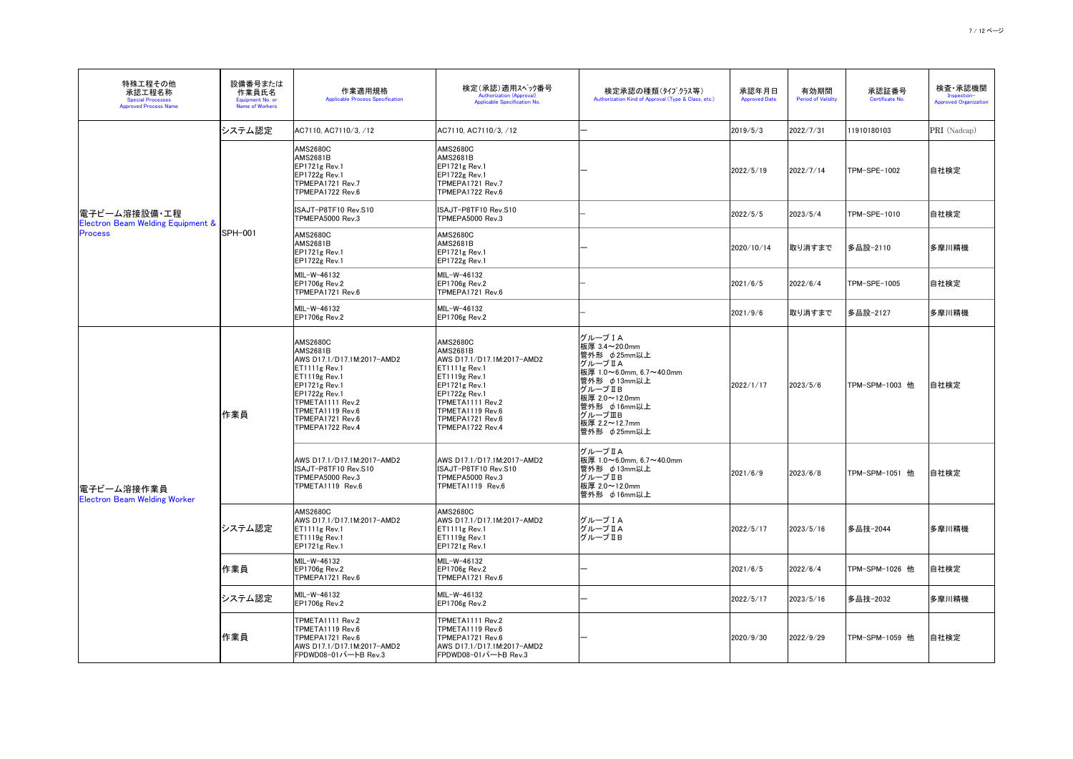| 特殊工程その他<br>承認工程名称<br><b>Special Processes</b><br><b>Approved Process Name</b>   | 設備番号または<br>作業員氏名<br>Equipment No. or<br><b>Name of Workers</b> | 作業適用規格<br><b>Applicable Process Specification</b>                                                                                                                                                                            | 検定(承認)適用スペック番号<br><b>Authorization (Approval)</b><br>Applicable Specification No.                                                                                                                                             | 検定承認の種類(タイプクラス等)<br>Authorization Kind of Approval (Type & Class, etc.)                                                                                                                       | 承認年月日<br><b>Approved Date</b>   | 有効期間<br><b>Period of Validity</b> | 承認証番号<br>Certificate No. | 検査 承認機関<br>Inspection-<br><b>Approved Organization</b> |
|---------------------------------------------------------------------------------|----------------------------------------------------------------|------------------------------------------------------------------------------------------------------------------------------------------------------------------------------------------------------------------------------|-------------------------------------------------------------------------------------------------------------------------------------------------------------------------------------------------------------------------------|-----------------------------------------------------------------------------------------------------------------------------------------------------------------------------------------------|---------------------------------|-----------------------------------|--------------------------|--------------------------------------------------------|
|                                                                                 | システム認定                                                         | AC7110, AC7110/3, /12                                                                                                                                                                                                        | AC7110, AC7110/3, /12                                                                                                                                                                                                         |                                                                                                                                                                                               | 2019/5/3                        | 2022/7/31                         | 11910180103              | PRI (Nadcap)                                           |
| 電子ビーム溶接設備・工程 <br><b>Electron Beam Welding Equipment &amp;</b><br><b>Process</b> |                                                                | <b>AMS2680C</b><br><b>AMS2681B</b><br>$EPI721g$ Rev.1<br>$EPI722g$ Rev.1<br>TPMEPA1721 Rev.7<br>TPMEPA1722 Rev.6                                                                                                             | <b>AMS2680C</b><br><b>AMS2681B</b><br>EP1721g Rev.1<br><b>EP1722g Rev.1</b><br>TPMEPA1721 Rev.7<br>TPMEPA1722 Rev.6                                                                                                           |                                                                                                                                                                                               | 2022/5/19                       | 2022/7/14                         | TPM-SPE-1002             | 自社検定                                                   |
|                                                                                 |                                                                | ISAJT-P8TF10 Rev.S10<br>TPMEPA5000 Rev.3                                                                                                                                                                                     | ISAJT-P8TF10 Rev.S10<br>TPMEPA5000 Rev.3                                                                                                                                                                                      |                                                                                                                                                                                               | 2022/5/5                        | 2023/5/4                          | TPM-SPE-1010             | 自社検定                                                   |
|                                                                                 | SPH-001                                                        | <b>AMS2680C</b><br><b>AMS2681B</b><br>$EPI721g$ Rev.1<br>$EPI722g$ Rev.1                                                                                                                                                     | <b>AMS2680C</b><br><b>AMS2681B</b><br>EP1721g Rev.1<br>EP1722g Rev.1                                                                                                                                                          |                                                                                                                                                                                               | 2020/10/14                      | 取り消すまで                            | 多品設-2110                 | 多摩川精機                                                  |
|                                                                                 |                                                                | MIL-W-46132<br><b>EP1706g Rev.2</b><br>TPMEPA1721 Rev.6                                                                                                                                                                      | MIL-W-46132<br><b>EP1706g Rev.2</b><br>TPMEPA1721 Rev.6                                                                                                                                                                       |                                                                                                                                                                                               | 2021/6/5                        | 2022/6/4                          | TPM-SPE-1005             | 自社検定                                                   |
|                                                                                 |                                                                | MIL-W-46132<br><b>EP1706g Rev.2</b>                                                                                                                                                                                          | MIL-W-46132<br><b>EP1706g Rev.2</b>                                                                                                                                                                                           |                                                                                                                                                                                               | 2021/9/6                        | 取り消すまで                            | 多品設-2127                 | 多摩川精機                                                  |
|                                                                                 | 作業員                                                            | <b>AMS2680C</b><br><b>AMS2681B</b><br>AWS D17.1/D17.1M:2017-AMD2<br>$ET1111g$ Rev.1<br>$ET1119g$ Rev.1<br>$EPI721g$ Rev.1<br>$EPI722g$ Rev.1<br>TPMETA1111 Rev.2<br>TPMETA1119 Rev.6<br>TPMEPA1721 Rev.6<br>TPMEPA1722 Rev.4 | <b>AMS2680C</b><br><b>AMS2681B</b><br>AWS D17.1/D17.1M:2017-AMD2<br>ET1111g Rev.1<br>$ET1119g$ Rev.1<br>EP1721g Rev.1<br><b>EP1722g Rev.1</b><br>TPMETA1111 Rev.2<br>TPMETA1119 Rev.6<br>TPMEPA1721 Rev.6<br>TPMEPA1722 Rev.4 | グループ I A<br>板厚 3.4~20.0mm<br>管外形 φ25mm以上<br> グループⅡA<br> 板厚 1.0~6.0mm, 6.7~40.0mm<br>管外形 φ13mm以上<br> グループⅡB<br> 板厚 2.0~12.0mm<br>管外形 p 16mm以上<br>グループⅢB<br> 板厚 2.2~12.7mm<br>管外形 $\phi$ 25mm以上 | 2022/1/17                       | 2023/5/6                          | TPM-SPM-1003 他           | 自社検定                                                   |
| 電子ビーム溶接作業員<br><b>Electron Beam Welding Worker</b>                               |                                                                | AWS D17.1/D17.1M:2017-AMD2<br>ISAJT-P8TF10 Rev.S10<br>TPMEPA5000 Rev.3<br>TPMETA1119 Rev.6                                                                                                                                   | AWS D17.1/D17.1M:2017-AMD2<br>ISAJT-P8TF10 Rev.S10<br>TPMEPA5000 Rev.3<br>TPMETA1119 Rev.6                                                                                                                                    | グループ II A<br> 板厚 1.0~6.0mm, 6.7~40.0mm<br>管外形 $\phi$ 13mm以上<br> グループⅡB<br>│板厚 2.0~12.0mm<br> 管外形 φ16mm以上                                                                                      | 2021/6/9                        | 2023/6/8                          | TPM-SPM-1051 他           | 自社検定                                                   |
|                                                                                 | システム認定                                                         | <b>AMS2680C</b><br>AWS D17.1/D17.1M:2017-AMD2<br>$ET1111g$ Rev.1<br>$ET1119g$ Rev.1<br>EP1721g Rev.1                                                                                                                         | <b>AMS2680C</b><br>AWS D17.1/D17.1M:2017-AMD2<br>ET1111g Rev.1<br>$ET1119g$ Rev.1<br>EP1721g Rev.1                                                                                                                            | グループ I A<br><b>グループⅡA</b><br> グループ Ⅱ B                                                                                                                                                        | 2022/5/17                       | 2023/5/16                         | │多品技−2044                | 多摩川精機                                                  |
|                                                                                 | 作業員                                                            | MIL-W-46132<br><b>EP1706g Rev.2</b><br>TPMEPA1721 Rev.6                                                                                                                                                                      | MIL-W-46132<br><b>EP1706g Rev.2</b><br>TPMEPA1721 Rev.6                                                                                                                                                                       |                                                                                                                                                                                               | $\left  \frac{2021}{6} \right $ | $\left  \frac{2022}{6}\right $    | TPM-SPM-1026 他           | 自社検定                                                   |
|                                                                                 | システム認定                                                         | $ML-W-46132$<br><b>EP1706g Rev.2</b>                                                                                                                                                                                         | MIL-W-46132<br><b>EP1706g Rev.2</b>                                                                                                                                                                                           |                                                                                                                                                                                               | 2022/5/17                       | 2023/5/16                         | │多品技−2032                | 多摩川精機                                                  |
|                                                                                 | │作業員                                                           | TPMETA1111 Rev.2<br>TPMETA1119 Rev.6<br>TPMEPA1721 Rev.6<br>AWS D17.1/D17.1M:2017-AMD2<br> FPDWD08-01パートB Rev.3                                                                                                              | TPMETA1111 Rev.2<br>TPMETA1119 Rev.6<br>TPMEPA1721 Rev.6<br>AWS D17.1/D17.1M:2017-AMD2<br> FPDWD08-01パートB Rev.3                                                                                                               |                                                                                                                                                                                               | 2020/9/30                       | 2022/9/29                         | TPM-SPM-1059 他           | 自社検定                                                   |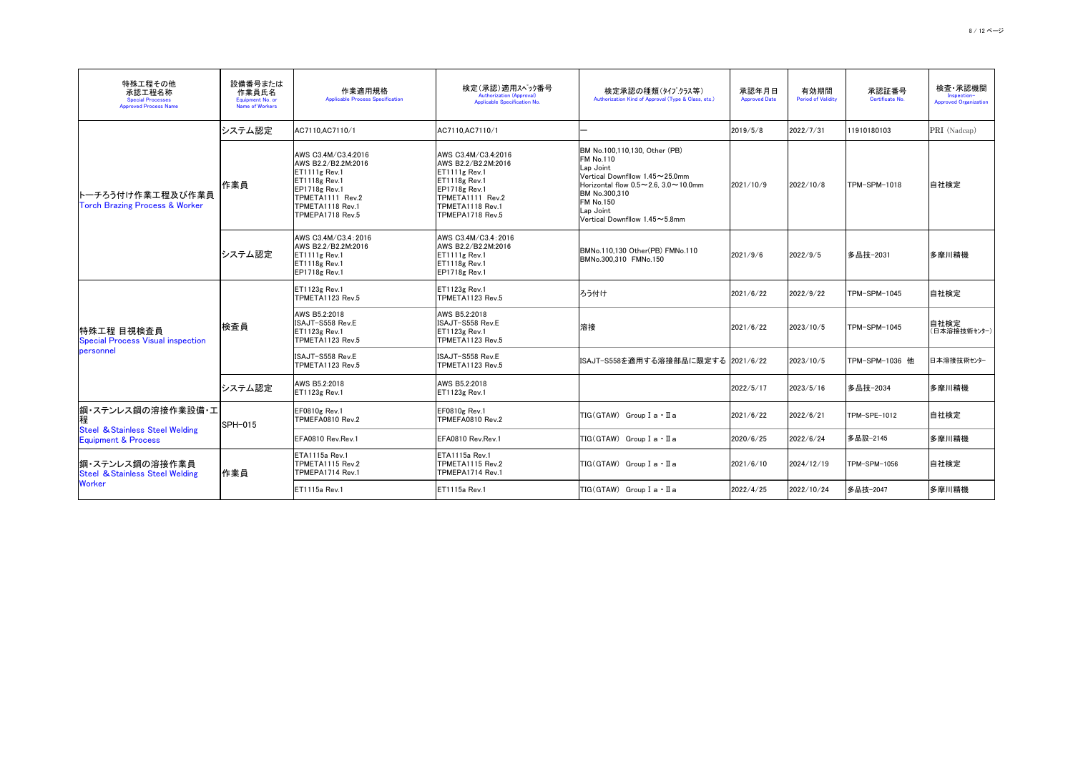| 特殊工程その他<br>承認工程名称<br><b>Special Processes</b><br><b>Approved Process Name</b> | 設備番号または<br>作業員氏名<br>Equipment No. or<br><b>Name of Workers</b> | 作業適用規格<br><b>Applicable Process Specification</b>                                                                                                                  | 検定(承認)適用スヘック番号<br><b>Authorization (Approval)</b><br>Applicable Specification No.                                                                                    | 検定承認の種類(タイプクラス等)<br>Authorization Kind of Approval (Type & Class, etc.)                                                                                                                                                                                   | 承認年月日<br><b>Approved Date</b> | 有効期間<br><b>Period of Validity</b> | 承認証番号<br>Certificate No. | 検査・承認機関<br>Inspection-<br><b>Approved Organization</b> |
|-------------------------------------------------------------------------------|----------------------------------------------------------------|--------------------------------------------------------------------------------------------------------------------------------------------------------------------|----------------------------------------------------------------------------------------------------------------------------------------------------------------------|-----------------------------------------------------------------------------------------------------------------------------------------------------------------------------------------------------------------------------------------------------------|-------------------------------|-----------------------------------|--------------------------|--------------------------------------------------------|
|                                                                               | システム認定                                                         | AC7110, AC7110/1                                                                                                                                                   | AC7110, AC7110/1                                                                                                                                                     |                                                                                                                                                                                                                                                           | 2019/5/8                      | 2022/7/31                         | 11910180103              | <b>PRI</b> (Nadcap)                                    |
| トーチろう付け作業工程及び作業員<br><b>Torch Brazing Process &amp; Worker</b>                 | 作業員                                                            | AWS C3.4M/C3.4:2016<br>AWS B2.2/B2.2M:2016<br>$ET1111g$ Rev.1<br><b>ET1118g Rev.1</b><br>EP1718g Rev.1<br>TPMETA1111 Rev.2<br>TPMETA1118 Rev.1<br>TPMEPA1718 Rev.5 | AWS C3.4M/C3.4:2016<br>AWS B2.2/B2.2M:2016<br>$ET1111g$ Rev.1<br>$ET1118g$ Rev.1<br><b>EP1718g Rev.1</b><br>TPMETA1111 Rev.2<br>TPMETA1118 Rev.1<br>TPMEPA1718 Rev.5 | BM No.100,110,130, Other (PB)<br><b>FM No.110</b><br>Lap Joint<br>Wertical Downfllow 1.45 $\sim$ 25.0mm<br>Horizontal flow $0.5 \sim 2.6$ , $3.0 \sim 10.0$ mm<br>BM No.300,310<br><b>FM No.150</b><br>Lap Joint<br>Vertical Downfllow $1.45 \sim 5.8$ mm | 2021/10/9                     | 2022/10/8                         | ITPM-SPM-1018            | 自社検定                                                   |
|                                                                               | システム認定                                                         | AWS C3.4M/C3.4:2016<br>AWS B2.2/B2.2M:2016<br>ET1111g Rev.1<br>$ET1118g$ Rev.1<br>$EPI118g$ Rev.1                                                                  | AWS C3.4M/C3.4:2016<br>AWS B2.2/B2.2M:2016<br>$ET1111g$ Rev.1<br>ET1118g Rev.1<br>$EPI118g$ Rev.1                                                                    | BMNo.110,130 Other(PB) FMNo.110<br>BMNo.300,310 FMNo.150                                                                                                                                                                                                  | 2021/9/6                      | 2022/9/5                          | 多品技−2031                 | 多摩川精機                                                  |
|                                                                               |                                                                | <b>ET1123g Rev.1</b><br>TPMETA1123 Rev.5                                                                                                                           | $ET1123g$ Rev.1<br>TPMETA1123 Rev.5                                                                                                                                  | ろう付け                                                                                                                                                                                                                                                      | 2021/6/22                     | 2022/9/22                         | TPM-SPM-1045             | 自社検定                                                   |
| 特殊工程 目視検査員<br><b>Special Process Visual inspection</b>                        | 検査員                                                            | AWS B5.2:2018<br>ISAJT-S558 Rev.E<br>ET1123g Rev.1<br>TPMETA1123 Rev.5                                                                                             | AWS B5.2:2018<br>ISAJT-S558 Rev.E<br>ET1123g Rev.1<br>TPMETA1123 Rev.5                                                                                               | 溶接                                                                                                                                                                                                                                                        | 2021/6/22                     | 2023/10/5                         | TPM-SPM-1045             | 自社検定 <br>(日本溶接技術センター)                                  |
| personnel                                                                     |                                                                | ISAJT-S558 Rev.E<br>TPMETA1123 Rev.5                                                                                                                               | ISAJT-S558 Rev.E<br>TPMETA1123 Rev.5                                                                                                                                 | ISAJT-S558を適用する溶接部品に限定する  2021/6/22                                                                                                                                                                                                                       |                               | 2023/10/5                         | TPM-SPM-1036 他           | 日本溶接技術センター                                             |
|                                                                               | システム認定                                                         | AWS B5.2:2018<br>$ET1123g$ Rev.1                                                                                                                                   | AWS B5.2:2018<br>ET1123g Rev.1                                                                                                                                       |                                                                                                                                                                                                                                                           | 2022/5/17                     | 2023/5/16                         | │多品技─2034                | 多摩川精機                                                  |
| 鋼・ステンレス鋼の溶接作業設備・エ                                                             | $ SPH-015 $                                                    | EF0810g Rev.1<br>TPMEFA0810 Rev.2                                                                                                                                  | EF0810g Rev.1<br>TPMEFA0810 Rev.2                                                                                                                                    | $TIG(GTAW)$ Group I a $\cdot$ II a                                                                                                                                                                                                                        | 2021/6/22                     | 2022/6/21                         | TPM-SPE-1012             | 自社検定                                                   |
| <b>Steel &amp; Stainless Steel Welding</b><br><b>Equipment &amp; Process</b>  |                                                                | EFA0810 Rev.Rev.1                                                                                                                                                  | EFA0810 Rev.Rev.1                                                                                                                                                    | $TIG(GTAW)$ Group I a $\cdot$ II a                                                                                                                                                                                                                        | 2020/6/25                     | 2022/6/24                         | 多品設ー2145                 | 多摩川精機                                                  |
| 鋼・ステンレス鋼の溶接作業員<br><b>Steel &amp; Stainless Steel Welding</b><br>Worker        | 作業員                                                            | ETA1115a Rev.1<br>TPMETA1115 Rev.2<br>TPMEPA1714 Rev.1                                                                                                             | ETA1115a Rev.1<br>TPMETA1115 Rev.2<br>TPMEPA1714 Rev.1                                                                                                               | $TIG(GTAW)$ Group I a $\cdot$ II a                                                                                                                                                                                                                        | 2021/6/10                     | 2024/12/19                        | TPM-SPM-1056             | 自社検定                                                   |
|                                                                               |                                                                | ET1115a Rev.1                                                                                                                                                      | ET1115a Rev.1                                                                                                                                                        | TIG(GTAW) Group I a • II a                                                                                                                                                                                                                                | 2022/4/25                     | 2022/10/24                        | 多品技-2047                 | │多摩川精機                                                 |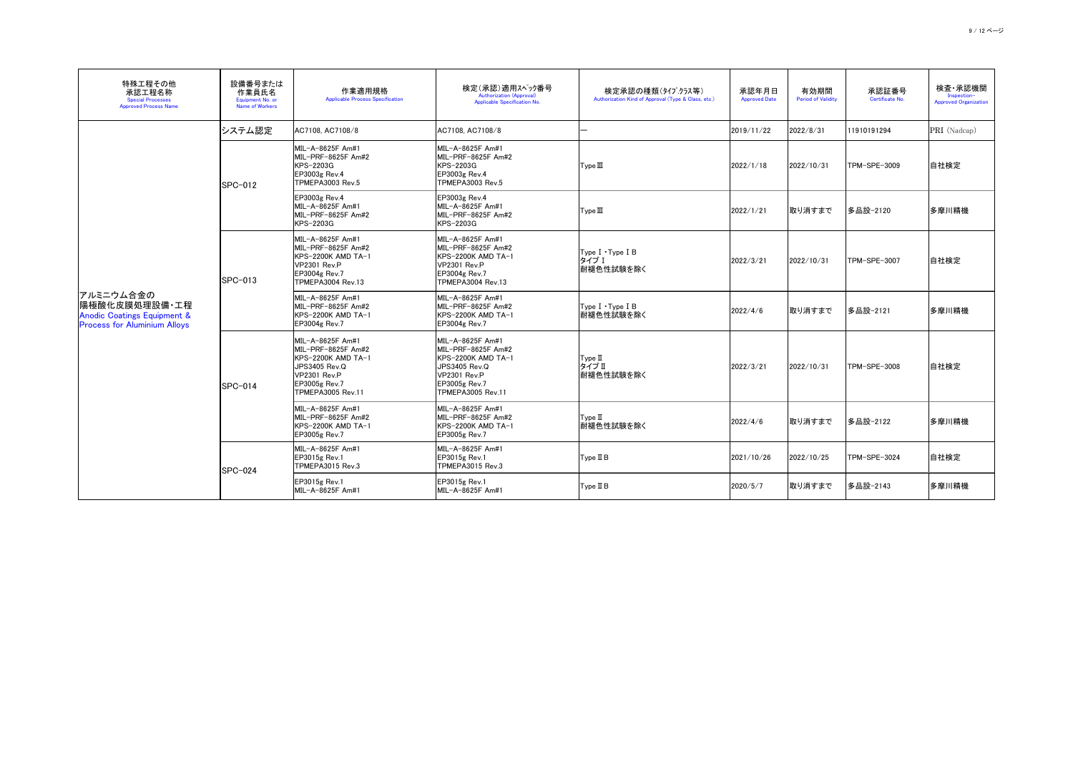| 特殊工程その他<br>承認工程名称<br><b>Special Processes</b><br><b>Approved Process Name</b>                                | 設備番号または<br>作業員氏名<br>Equipment No. or<br><b>Name of Workers</b> | 作業適用規格<br><b>Applicable Process Specification</b>                                                                                                         | 検定(承認)適用スペック番号<br><b>Authorization (Approval)</b><br>Applicable Specification No.                                                          | 検定承認の種類(タイプクラス等)<br>Authorization Kind of Approval (Type & Class, etc.)                  | 承認年月日<br><b>Approved Date</b> | 有効期間<br><b>Period of Validity</b> | 承認証番号<br>Certificate No. | 検査 承認機関<br>Inspection-<br><b>Approved Organization</b> |
|--------------------------------------------------------------------------------------------------------------|----------------------------------------------------------------|-----------------------------------------------------------------------------------------------------------------------------------------------------------|--------------------------------------------------------------------------------------------------------------------------------------------|------------------------------------------------------------------------------------------|-------------------------------|-----------------------------------|--------------------------|--------------------------------------------------------|
|                                                                                                              | システム認定                                                         | AC7108, AC7108/8                                                                                                                                          | AC7108, AC7108/8                                                                                                                           |                                                                                          | 2019/11/22                    | 2022/8/31                         | 11910191294              | PRI (Nadcap)                                           |
|                                                                                                              | SPC-012                                                        | MIL-A-8625F Am#1<br>MIL-PRF-8625F Am#2<br>KPS-2203G<br>EP3003g Rev.4<br>TPMEPA3003 Rev.5                                                                  | MIL-A-8625F Am#1<br>MIL-PRF-8625F Am#2<br>KPS-2203G<br>EP3003g Rev.4<br>TPMEPA3003 Rev.5                                                   | Type II                                                                                  | 2022/1/18                     | 2022/10/31                        | TPM-SPE-3009             | 自社検定                                                   |
|                                                                                                              |                                                                | EP3003g Rev.4<br>MIL-A-8625F Am#1<br>MIL-PRF-8625F Am#2<br>KPS-2203G                                                                                      | EP3003g Rev.4<br>MIL-A-8625F Am#1<br>MIL-PRF-8625F Am#2<br><b>KPS-2203G</b>                                                                | Type II                                                                                  | 2022/1/21                     | 取り消すまで                            | 多品設-2120                 | 多摩川精機                                                  |
|                                                                                                              | $ SPC-013 $                                                    | MIL-A-8625F Am#1<br>MIL-PRF-8625F Am#2<br>KPS-2200K AMD TA-1<br><b>VP2301 Rev.P</b><br>EP3004g Rev.7<br><b>TPMEPA3004 Rev.13</b>                          | MIL-A-8625F Am#1<br>MIL-PRF-8625F Am#2<br>KPS-2200K AMD TA-1<br>VP2301 Rev.P<br>EP3004g Rev.7<br><b>TPMEPA3004 Rev.13</b>                  | Type I . Type I B<br>タイプ I<br> 耐褪色性試験を除く                                                 | 2022/3/21                     | 2022/10/31                        | TPM-SPE-3007             | 自社検定                                                   |
| アルミニウム合金の<br> 陽極酸化皮膜処理設備·工程<br><b>Anodic Coatings Equipment &amp;</b><br><b>Process for Aluminium Alloys</b> |                                                                | MIL-A-8625F Am#1<br>MIL-PRF-8625F Am#2<br> KPS-2200K AMD TA-1<br>EP3004g Rev.7                                                                            | MIL-A-8625F Am#1<br>MIL-PRF-8625F Am#2<br>KPS-2200K AMD TA-1<br>EP3004g Rev.7                                                              | $\mathsf{Type}\; \mathsf{I} \cdot \mathsf{Type}\; \mathsf{I}\; \mathsf{B}$<br> 耐褪色性試験を除く | 2022/4/6                      | 取り消すまで                            | │多品設−2121                | 多摩川精機                                                  |
|                                                                                                              | $ SPC-014 $                                                    | MIL-A-8625F Am#1<br>MIL-PRF-8625F Am#2<br>IKPS-2200K AMD TA−1<br><b>JPS3405 Rev.Q</b><br><b>VP2301 Rev.P</b><br>EP3005g Rev.7<br><b>TPMEPA3005 Rev.11</b> | MIL-A-8625F Am#1<br>MIL-PRF-8625F Am#2<br>KPS-2200K AMD TA-1<br>JPS3405 Rev.Q<br>VP2301 Rev.P<br>EP3005g Rev.7<br><b>TPMEPA3005 Rev.11</b> | Type II<br>タイプⅡ<br> 耐褪色性試験を除く                                                            | 2022/3/21                     | 2022/10/31                        | TPM-SPE-3008             | 自社検定                                                   |
|                                                                                                              |                                                                | MIL-A-8625F Am#1<br>MIL-PRF-8625F Am#2<br>IKPS-2200K AMD TA−1<br><b>EP3005g Rev.7</b>                                                                     | MIL-A-8625F Am#1<br>MIL-PRF-8625F Am#2<br><b>IKPS-2200K AMD TA-1</b><br><b>EP3005g Rev.7</b>                                               | Type II<br> 耐褪色性試験を除く                                                                    | 2022/4/6                      | 取り消すまで                            | 多品設-2122                 | 多摩川精機                                                  |
|                                                                                                              | SPC-024                                                        | MIL-A-8625F Am#1<br><b>EP3015g Rev.1</b><br>TPMEPA3015 Rev.3                                                                                              | MIL-A-8625F Am#1<br><b>EP3015g Rev.1</b><br>TPMEPA3015 Rev.3                                                                               | Type II B                                                                                | 2021/10/26                    | 2022/10/25                        | TPM-SPE-3024             | 自社検定                                                   |
|                                                                                                              |                                                                | $EP3015g$ Rev.1<br> MIL-A-8625F Am#1                                                                                                                      | <b>EP3015g Rev.1</b><br>MIL-A-8625F Am#1                                                                                                   | Type II B                                                                                | 2020/5/7                      | 取り消すまで                            | 多品設-2143                 | 多摩川精機                                                  |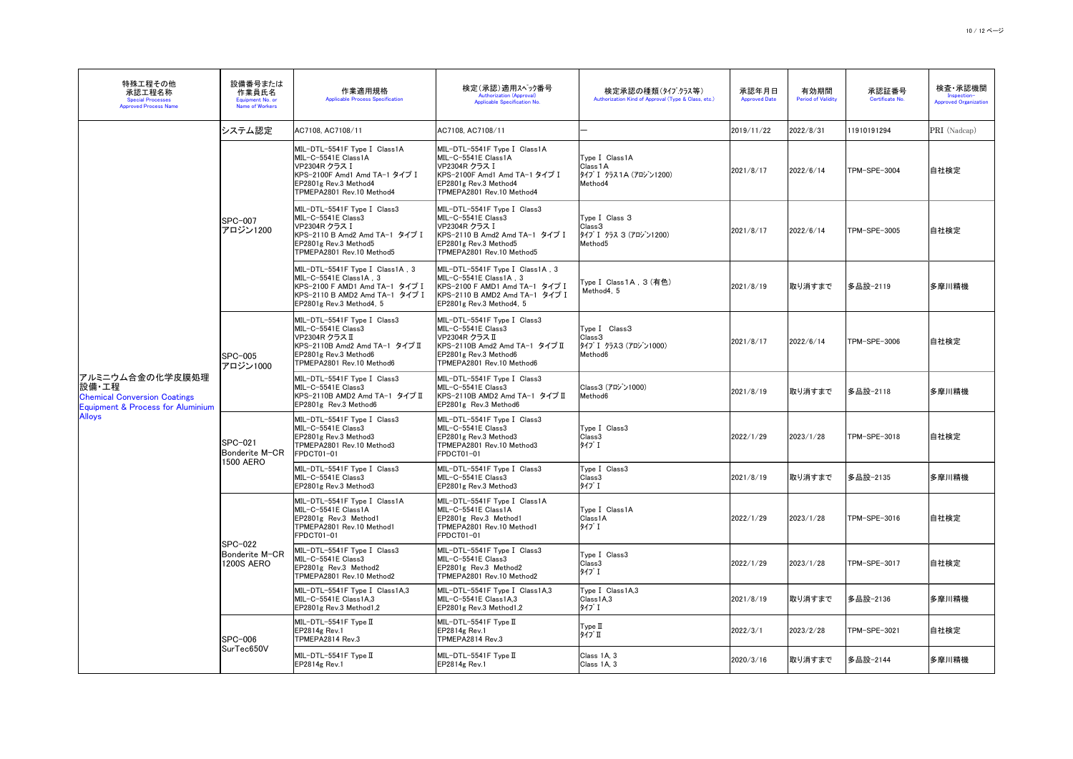| 特殊工程その他<br>承認工程名称<br><b>Special Processes</b><br><b>Approved Process Name</b>                          | 設備番号または<br>作業員氏名<br>Equipment No. or<br>Name of Workers | 作業適用規格<br><b>Applicable Process Specification</b>                                                                                                            | 検定(承認)適用スペック番号<br><b>Authorization (Approval)</b><br>Applicable Specification No.                                                                             | 検定承認の種類(タイプクラス等)<br>Authorization Kind of Approval (Type & Class, etc.)             | 承認年月日<br><b>Approved Date</b> | 有効期間<br><b>Period of Validity</b> | 承認証番号<br>Certificate No. | 検査・承認機関<br>Inspection-<br><b>Approved Organization</b> |
|--------------------------------------------------------------------------------------------------------|---------------------------------------------------------|--------------------------------------------------------------------------------------------------------------------------------------------------------------|---------------------------------------------------------------------------------------------------------------------------------------------------------------|-------------------------------------------------------------------------------------|-------------------------------|-----------------------------------|--------------------------|--------------------------------------------------------|
|                                                                                                        | システム認定                                                  | AC7108, AC7108/11                                                                                                                                            | AC7108, AC7108/11                                                                                                                                             |                                                                                     | 2019/11/22                    | 2022/8/31                         | 11910191294              | PRI (Nadcap)                                           |
|                                                                                                        |                                                         | MIL-DTL-5541F Type I Class1A<br>MIL-C-5541E Class1A<br>VP2304R クラス I<br> KPS-2100F Amd1 Amd TA-1 タイプ I<br>EP2801g Rev.3 Method4<br>TPMEPA2801 Rev.10 Method4 | MIL-DTL-5541F Type I Class1A<br>MIL-C-5541E Class1A<br>VP2304R クラス I<br> KPS-2100F Amd1 Amd TA-1 タイプ I<br>EP2801g Rev.3 Method4<br>TPMEPA2801 Rev.10 Method4  | Type I Class1A<br>Class 1 A<br> タイフ゜I クラス1A(アロジン1200)<br>Method4                    | 2021/8/17                     | 2022/6/14                         | TPM-SPE-3004             | 自社検定                                                   |
|                                                                                                        | SPC-007<br>アロジン1200                                     | MIL-DTL-5541F Type I Class3<br>$MIL-C-5541E Class3$<br>VP2304R クラス I<br>KPS-2110 B Amd2 Amd TA-1 タイプ I<br>EP2801g Rev.3 Method5<br>TPMEPA2801 Rev.10 Method5 | MIL-DTL-5541F Type I Class3<br>MIL-C-5541E Class3<br> VP2304R クラス I<br> KPS-2110 B Amd2 Amd TA-1 タイプ I<br>EP2801g Rev.3 Method5<br>TPMEPA2801 Rev.10 Method5  | Type I Class 3<br>Class3<br> タイフ゜I クラス 3 (アロジン1200)<br>Method <sub>5</sub>          | 2021/8/17                     | 2022/6/14                         | TPM-SPE-3005             | 自社検定                                                   |
|                                                                                                        |                                                         | MIL-DTL-5541F Type I Class1A, 3<br>MIL-C-5541E Class1A, 3<br>KPS-2100 F AMD1 Amd TA-1 タイプ I<br> KPS-2110 B AMD2 Amd TA-1 タイプ I<br>EP2801g Rev.3 Method4, 5   | MIL-DTL-5541F Type I Class1A, 3<br>$MIL-C-5541E Class1A, 3$<br> KPS-2100 F AMD1 Amd TA-1 タイプ I<br> KPS-2110 B AMD2 Amd TA-1 タイプ I<br>EP2801g Rev.3 Method4, 5 | Type I Class 1A, 3 (有色)<br>Method4, 5                                               | 2021/8/19                     | <b> 取り消すまで</b>                    | │多品設─2119                | 多摩川精機                                                  |
|                                                                                                        | <b>SPC-005</b><br>アロジン1000                              | MIL-DTL-5541F Type I Class3<br>MIL-C-5541E Class3<br>VP2304R クラス II<br>KPS-2110B Amd2 Amd TA-1 タイプ Ⅱ<br>EP2801g Rev.3 Method6<br>TPMEPA2801 Rev.10 Method6   | MIL-DTL-5541F Type I Class3<br>MIL-C-5541E Class3<br> VP2304R クラス II<br>KPS-2110B Amd2 Amd TA-1 タイプ Ⅱ<br>EP2801g Rev.3 Method6<br>TPMEPA2801 Rev.10 Method6   | Type I Class3<br>Class <sub>3</sub><br> タイフ゜I クラス3(アロジン1000)<br>Method <sub>6</sub> | 2021/8/17                     | 2022/6/14                         | TPM-SPE-3006             | 自社検定<br>多摩川精機                                          |
| アルミニウム合金の化学皮膜処理<br> 設備・工程 <br><b>Chemical Conversion Coatings</b><br>Equipment & Process for Aluminium |                                                         | MIL-DTL-5541F Type I Class3<br>MIL-C-5541E Class3<br>KPS-2110B AMD2 Amd TA-1 タイプ Ⅱ<br>EP2801g Rev.3 Method6                                                  | MIL-DTL-5541F Type I Class3<br>$ML-C-5541E Class3$<br>KPS-2110B AMD2 Amd TA-1 タイプ Ⅱ<br>EP2801g Rev.3 Method6                                                  | Class3 (アロジン1000)<br>Method <sub>6</sub>                                            | 2021/8/19                     | 取り消すまで                            | │多品設─2118                |                                                        |
| <b>Alloys</b>                                                                                          | SPC-021<br>Bonderite M-CR                               | MIL-DTL-5541F Type I Class3<br>MIL-C-5541E Class3<br>EP2801g Rev.3 Method3<br>TPMEPA2801 Rev.10 Method3<br>FPDCT01-01                                        | MIL-DTL-5541F Type I Class3<br>MIL-C-5541E Class3<br>EP2801g Rev.3 Method3<br>TPMEPA2801 Rev.10 Method3<br>FPDCT01-01                                         | Type I Class3<br>Class3<br>タイプ I                                                    | 2022/1/29                     | 2023/1/28                         | TPM-SPE-3018             | 自社検定                                                   |
|                                                                                                        | <b>1500 AERO</b>                                        | MIL-DTL-5541F Type I Class3<br>MIL-C-5541E Class3<br>EP2801g Rev.3 Method3                                                                                   | MIL-DTL-5541F Type I Class3<br>$ML-C-5541E Class3$<br>EP2801g Rev.3 Method3                                                                                   | Type I Class3<br>Class3<br>タイプ I                                                    | 2021/8/19                     | 取り消すまで                            | │多品設─2135                | 多摩川精機                                                  |
|                                                                                                        | SPC-022                                                 | MIL-DTL-5541F Type I Class1A<br>MIL-C-5541E Class1A<br>EP2801g Rev.3 Method1<br>TPMEPA2801 Rev.10 Method1<br>FPDCT01-01                                      | MIL-DTL-5541F Type I Class1A<br>MIL-C-5541E Class1A<br>EP2801g Rev.3 Method1<br>TPMEPA2801 Rev.10 Method1<br>FPDCT01-01                                       | Type I Class1A<br>Class1A<br>タイプ I                                                  | 2022/1/29                     | 2023/1/28                         | TPM-SPE-3016             | 自社検定                                                   |
|                                                                                                        | Bonderite M-CR<br><b>1200S AERO</b>                     | MIL-DTL-5541F Type I Class3<br>MIL-C-5541E Class3<br>EP2801g Rev.3 Method2<br>TPMEPA2801 Rev.10 Method2                                                      | MIL-DTL-5541F Type I Class3<br>MIL-C-5541E Class3<br>EP2801g Rev.3 Method2<br>TPMEPA2801 Rev.10 Method2                                                       | Type I Class3<br>Class3<br>タイプ I                                                    | 2022/1/29                     | 2023/1/28                         | TPM-SPE-3017             | 自社検定                                                   |
|                                                                                                        |                                                         | MIL-DTL-5541F Type I Class1A,3<br>$MIL-C-5541E Class1A,3$<br>EP2801g Rev.3 Method1,2                                                                         | MIL-DTL-5541F Type I Class1A,3<br>$ML-C-5541E Class1A,3$<br>EP2801g Rev.3 Method1,2                                                                           | Type I Class1A,3<br>Class1A,3<br>タイプ I                                              | 2021/8/19                     | 取り消すまで                            | │多品設─2136                | 多摩川精機                                                  |
|                                                                                                        | <b>SPC-006</b>                                          | $MIL-DTL-5541F$ Type $II$<br><b>EP2814g Rev.1</b><br>TPMEPA2814 Rev.3                                                                                        | MIL-DTL-5541F Type II<br>$EP2814g$ Rev.1<br>TPMEPA2814 Rev.3                                                                                                  | Type II<br>タイプ Ⅱ                                                                    | 2022/3/1                      | 2023/2/28                         | TPM-SPE-3021             | 自社検定                                                   |
|                                                                                                        | SurTec650V                                              | MIL-DTL-5541F Type II<br><b>EP2814g Rev.1</b>                                                                                                                | MIL-DTL-5541F Type II<br>$EP2814g$ Rev.1                                                                                                                      | Class 1A, 3<br>Class 1A, 3                                                          | 2020/3/16                     | 取り消すまで                            | 多品設─2144                 | 多摩川精機                                                  |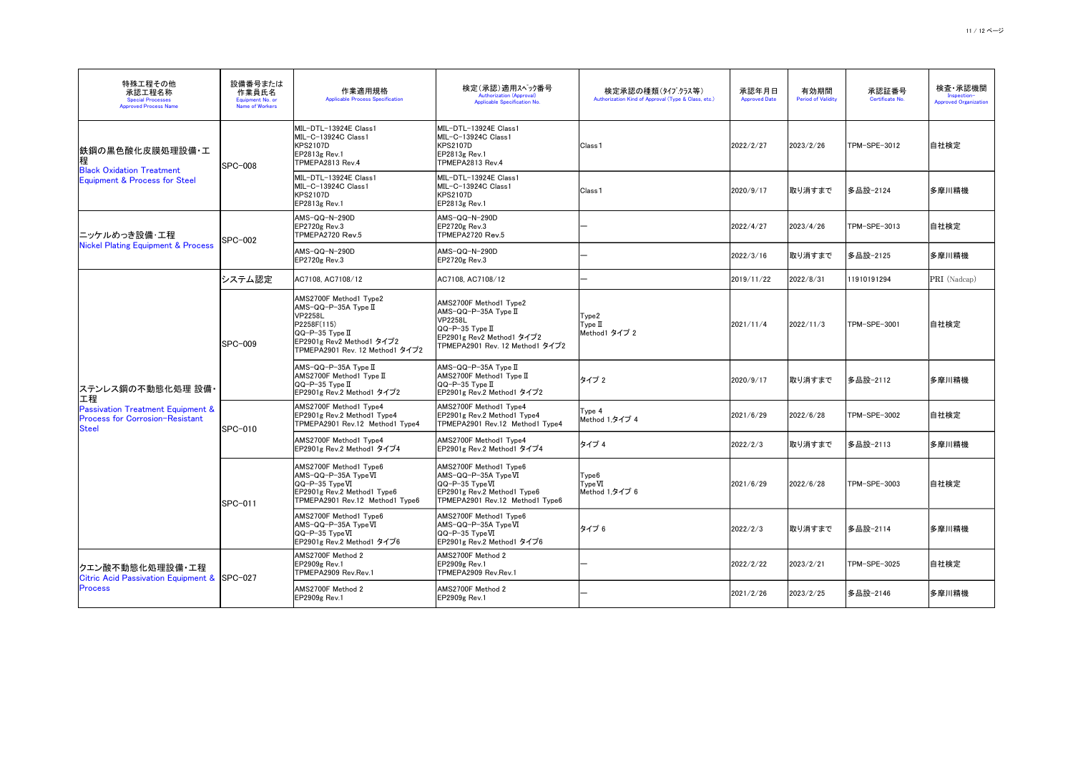| 特殊工程その他<br>承認工程名称<br><b>Special Processes</b><br><b>Approved Process Name</b>                   | 設備番号または<br>作業員氏名<br>Equipment No. or<br><b>Name of Workers</b> | 作業適用規格<br><b>Applicable Process Specification</b>                                                                                                                                                        | 検定(承認)適用スヘック番号<br><b>Authorization (Approval)</b><br>Applicable Specification No.                                                                                    | 検定承認の種類(タイプクラス等)<br>Authorization Kind of Approval (Type & Class, etc.) | 承認年月日<br><b>Approved Date</b> | 有効期間<br><b>Period of Validity</b> | 承認証番号<br>Certificate No. | 検査 承認機関<br>Inspection-<br><b>Approved Organization</b> |
|-------------------------------------------------------------------------------------------------|----------------------------------------------------------------|----------------------------------------------------------------------------------------------------------------------------------------------------------------------------------------------------------|----------------------------------------------------------------------------------------------------------------------------------------------------------------------|-------------------------------------------------------------------------|-------------------------------|-----------------------------------|--------------------------|--------------------------------------------------------|
| 鉄鋼の黒色酸化皮膜処理設備・工<br>程<br><b>Black Oxidation Treatment</b>                                        | <b>SPC-008</b>                                                 | MIL-DTL-13924E Class1<br>MIL-C-13924C Class1<br><b>KPS2107D</b><br>EP2813g Rev.1<br>TPMEPA2813 Rev.4                                                                                                     | MIL-DTL-13924E Class1<br>lMIL-C-13924C Class1<br><b>KPS2107D</b><br>EP2813g Rev.1<br>TPMEPA2813 Rev.4                                                                | Class <sub>1</sub>                                                      | 2022/2/27                     | 2023/2/26                         | TPM-SPE-3012             | 自社検定                                                   |
| Equipment & Process for Steel                                                                   |                                                                | MIL-DTL-13924E Class1<br>MIL-C-13924C Class1<br><b>KPS2107D</b><br>EP2813g Rev.1                                                                                                                         | MIL-DTL-13924E Class1<br>MIL-C-13924C Class1<br><b>KPS2107D</b><br>EP2813g Rev.1                                                                                     | Class <sub>1</sub>                                                      | 2020/9/17                     | 取り消すまで                            | │多品設−2124                | 多摩川精機                                                  |
| ニッケルめっき設備・工程                                                                                    | <b>SPC-002</b>                                                 | AMS-QQ-N-290D<br><b>EP2720g Rev.3</b><br>TPMEPA2720 Rev.5                                                                                                                                                | AMS-QQ-N-290D<br>$EP2720g$ Rev.3<br>TPMEPA2720 Rev.5                                                                                                                 |                                                                         | 2022/4/27                     | 2023/4/26                         | TPM-SPE-3013             | 自社検定                                                   |
| <b>Nickel Plating Equipment &amp; Process</b>                                                   |                                                                | AMS-QQ-N-290D<br><b>EP2720g Rev.3</b>                                                                                                                                                                    | $AMS-QQ-N-290D$<br><b>EP2720g Rev.3</b>                                                                                                                              |                                                                         | 2022/3/16                     | 取り消すまで                            | 多品設-2125                 | 多摩川精機                                                  |
|                                                                                                 | システム認定                                                         | AC7108, AC7108/12                                                                                                                                                                                        | AC7108, AC7108/12                                                                                                                                                    |                                                                         | 2019/11/22                    | 2022/8/31                         | 11910191294              | PRI (Nadcap)                                           |
|                                                                                                 | <b>SPC-009</b>                                                 | AMS2700F Method1 Type2<br>$AMS-QQ-P-35A$ Type II<br><b>VP2258L</b><br>P2258F(115)<br>$\overline{QQ}$ -P-35 Type $\overline{\mathbb{I}}$<br> EP2901g Rev2 Method1 タイプ2<br>TPMEPA2901 Rev. 12 Method1 タイプ2 | AMS2700F Method1 Type2<br>$AMS-QQ-P-35A$ Type II<br><b>VP2258L</b><br>$\overline{QQ}$ -P-35 Type II<br> EP2901g Rev2 Method1 タイプ2<br>TPMEPA2901 Rev. 12 Method1 タイプ2 | Type2<br>Type II<br>Method1 タイプ 2                                       | 2021/11/4                     | 2022/11/3                         | TPM-SPE-3001             | 自社検定                                                   |
| ステンレス鋼の不動態化処理 設備・<br> 工程                                                                        |                                                                | $AMS-QQ-P-35A$ Type $II$<br>AMS2700F Method1 Type II<br>$\overline{QQ}$ -P-35 Type $\overline{\rm II}$<br> EP2901g Rev.2 Method1 タイプ2                                                                    | $AMS-QQ-P-35A$ Type II<br>$AMS2700F$ Method1 Type $II$<br>$\overline{QQ}$ -P-35 Type II<br> EP2901g Rev.2 Method1 タイプ2                                               | タイプ2                                                                    | 2020/9/17                     | 取り消すまで                            | │多品設─2112                | 多摩川精機                                                  |
| <b>Passivation Treatment Equipment &amp;</b><br><b>Process for Corrosion-Resistant</b><br>Steel | SPC-010                                                        | AMS2700F Method1 Type4<br>EP2901g Rev.2 Method1 Type4<br>TPMEPA2901 Rev.12 Method1 Type4                                                                                                                 | AMS2700F Method1 Type4<br>EP2901g Rev.2 Method1 Type4<br>TPMEPA2901 Rev.12 Method1 Type4                                                                             | Type 4<br>Method 1,タイプ 4                                                | 2021/6/29                     | 2022/6/28                         | TPM-SPE-3002             | 自社検定                                                   |
|                                                                                                 |                                                                | AMS2700F Method1 Type4<br> EP2901g Rev.2 Method1 タイプ4                                                                                                                                                    | AMS2700F Method1 Type4<br>EP2901g Rev.2 Method1 タイプ4                                                                                                                 | タイプ4                                                                    | 2022/2/3                      | 取り消すまで                            | 多品設-2113                 | 多摩川精機                                                  |
|                                                                                                 | <b>SPC-011</b>                                                 | AMS2700F Method1 Type6<br>AMS-QQ-P-35A TypeVI<br>$\overline{\textsf{QQ-P-35} \textsf{TypeVI}}$<br>EP2901g Rev.2 Method1 Type6<br>TPMEPA2901 Rev.12 Method1 Type6                                         | AMS2700F Method1 Type6<br>$AMS-QQ-P-35A Type VI$<br>$\overline{QQ}$ -P-35 Type VI<br>EP2901g Rev.2 Method1 Type6<br>TPMEPA2901 Rev.12 Method1 Type6                  | Type <sub>6</sub><br>TypeVI<br>Method 1,タイプ 6                           | 2021/6/29                     | 2022/6/28                         | TPM-SPE-3003             | 自社検定                                                   |
|                                                                                                 |                                                                | AMS2700F Method1 Type6<br>$AMS-QQ-P-35A Type VI$<br>$\sqrt{QQ-P-35}$ Type VI<br> EP2901g Rev.2 Method1 タイプ6                                                                                              | AMS2700F Method1 Type6<br> AMS-QQ-P-35A Type $\Pi$<br>$\sqrt{QQ-P-35}$ Type VI<br> EP2901g Rev.2 Method1 タイプ6                                                        | タイプ6                                                                    | 2022/2/3                      | 取り消すまで                            | 多品設-2114                 | 多摩川精機                                                  |
| クエン酸不動態化処理設備・工程                                                                                 |                                                                | AMS2700F Method 2<br>EP2909g Rev.1<br>TPMEPA2909 Rev.Rev.1                                                                                                                                               | AMS2700F Method 2<br>EP2909g Rev.1<br>TPMEPA2909 Rev.Rev.1                                                                                                           |                                                                         | 2022/2/22                     | 2023/2/21                         | TPM-SPE-3025             | 自社検定                                                   |
| Citric Acid Passivation Equipment & SPC-027<br><b>Process</b>                                   |                                                                | AMS2700F Method 2<br>EP2909g Rev.1                                                                                                                                                                       | AMS2700F Method 2<br>EP2909g Rev.1                                                                                                                                   |                                                                         | 2021/2/26                     | 2023/2/25                         | 多品設-2146                 | 多摩川精機                                                  |